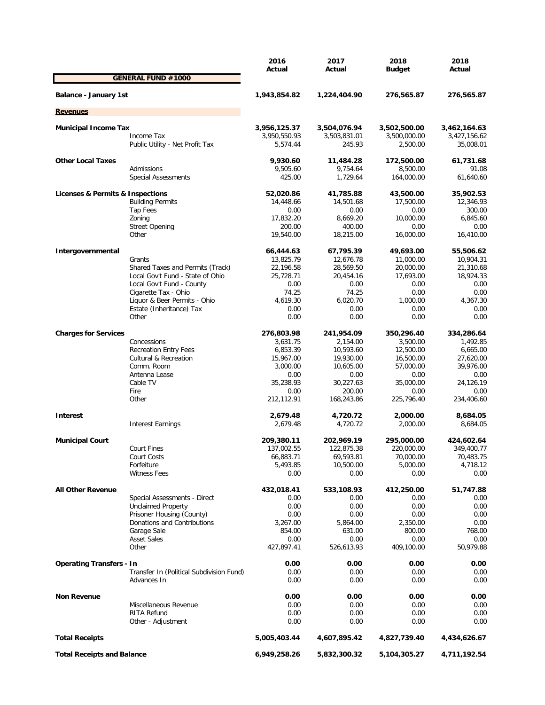|                                   |                                          | 2016<br>Actual       | 2017<br>Actual       | 2018<br><b>Budget</b> | 2018<br>Actual       |
|-----------------------------------|------------------------------------------|----------------------|----------------------|-----------------------|----------------------|
|                                   | <b>GENERAL FUND #1000</b>                |                      |                      |                       |                      |
| Balance - January 1st             |                                          | 1,943,854.82         | 1,224,404.90         | 276,565.87            | 276,565.87           |
| <b>Revenues</b>                   |                                          |                      |                      |                       |                      |
|                                   |                                          |                      |                      |                       |                      |
| <b>Municipal Income Tax</b>       |                                          | 3,956,125.37         | 3,504,076.94         | 3,502,500.00          | 3,462,164.63         |
|                                   | Income Tax                               | 3,950,550.93         | 3,503,831.01         | 3,500,000.00          | 3,427,156.62         |
|                                   | Public Utility - Net Profit Tax          | 5,574.44             | 245.93               | 2,500.00              | 35,008.01            |
| <b>Other Local Taxes</b>          |                                          | 9,930.60             | 11,484.28            | 172,500.00            | 61,731.68            |
|                                   | Admissions                               | 9,505.60             | 9,754.64             | 8,500.00              | 91.08                |
|                                   | <b>Special Assessments</b>               | 425.00               | 1,729.64             | 164,000.00            | 61,640.60            |
| Licenses & Permits & Inspections  |                                          | 52,020.86            | 41,785.88            | 43,500.00             | 35,902.53            |
|                                   | <b>Building Permits</b>                  | 14,448.66            | 14,501.68            | 17,500.00             | 12,346.93            |
|                                   | Tap Fees                                 | 0.00                 | 0.00                 | 0.00                  | 300.00               |
|                                   | Zoning                                   | 17,832.20            | 8,669.20             | 10,000.00             | 6,845.60             |
|                                   | <b>Street Opening</b>                    | 200.00               | 400.00               | 0.00                  | 0.00                 |
|                                   | Other                                    | 19,540.00            | 18,215.00            | 16,000.00             | 16,410.00            |
| Intergovernmental                 |                                          | 66,444.63            | 67,795.39            | 49,693.00             | 55,506.62            |
|                                   | Grants                                   | 13,825.79            | 12,676.78            | 11,000.00             | 10,904.31            |
|                                   | Shared Taxes and Permits (Track)         | 22,196.58            | 28,569.50            | 20,000.00             | 21,310.68            |
|                                   | Local Gov't Fund - State of Ohio         | 25,728.71            | 20,454.16            | 17,693.00             | 18,924.33            |
|                                   | Local Gov't Fund - County                | 0.00                 | 0.00                 | 0.00                  | 0.00                 |
|                                   | Cigarette Tax - Ohio                     | 74.25                | 74.25                | 0.00                  | 0.00                 |
|                                   | Liquor & Beer Permits - Ohio             | 4,619.30             | 6,020.70             | 1,000.00              | 4,367.30             |
|                                   | Estate (Inheritance) Tax                 | 0.00                 | 0.00                 | 0.00                  | 0.00                 |
|                                   | Other                                    | 0.00                 | 0.00                 | 0.00                  | 0.00                 |
| <b>Charges for Services</b>       |                                          | 276,803.98           | 241,954.09           | 350,296.40            | 334,286.64           |
|                                   | Concessions                              | 3,631.75             | 2,154.00             | 3,500.00              | 1,492.85             |
|                                   | <b>Recreation Entry Fees</b>             | 6,853.39             | 10,593.60            | 12,500.00             | 6,665.00             |
|                                   | <b>Cultural &amp; Recreation</b>         | 15,967.00            | 19,930.00            | 16,500.00             | 27,620.00            |
|                                   | Comm. Room                               | 3,000.00             | 10,605.00            | 57,000.00             | 39,976.00            |
|                                   | Antenna Lease                            | 0.00                 | 0.00                 | 0.00                  | 0.00                 |
|                                   | Cable TV                                 | 35,238.93            | 30,227.63            | 35,000.00             | 24,126.19            |
|                                   | Fire                                     | 0.00                 | 200.00               | 0.00                  | 0.00                 |
|                                   | Other                                    | 212,112.91           | 168,243.86           | 225,796.40            | 234,406.60           |
|                                   |                                          |                      |                      |                       |                      |
| <b>Interest</b>                   | <b>Interest Earnings</b>                 | 2,679.48<br>2,679.48 | 4,720.72<br>4,720.72 | 2,000.00<br>2,000.00  | 8,684.05<br>8,684.05 |
|                                   |                                          |                      |                      |                       |                      |
| <b>Municipal Court</b>            |                                          | 209,380.11           | 202,969.19           | 295,000.00            | 424,602.64           |
|                                   | <b>Court Fines</b>                       | 137,002.55           | 122,875.38           | 220,000.00            | 349,400.77           |
|                                   | Court Costs                              | 66,883.71            | 69,593.81            | 70,000.00             | 70,483.75            |
|                                   | Forfeiture                               | 5,493.85             | 10,500.00            | 5,000.00              | 4,718.12             |
|                                   | <b>Witness Fees</b>                      | 0.00                 | 0.00                 | 0.00                  | 0.00                 |
| <b>All Other Revenue</b>          |                                          | 432,018.41           | 533,108.93           | 412,250.00            | 51,747.88            |
|                                   | Special Assessments - Direct             | 0.00                 | 0.00                 | 0.00                  | 0.00                 |
|                                   | <b>Unclaimed Property</b>                | 0.00                 | 0.00                 | 0.00                  | 0.00                 |
|                                   | Prisoner Housing (County)                | 0.00                 | 0.00                 | 0.00                  | 0.00                 |
|                                   | Donations and Contributions              | 3,267.00             | 5,864.00             | 2,350.00              | 0.00                 |
|                                   | Garage Sale                              | 854.00               | 631.00               | 800.00                | 768.00               |
|                                   | <b>Asset Sales</b>                       | 0.00                 | 0.00                 | 0.00                  | 0.00                 |
|                                   | Other                                    | 427,897.41           | 526,613.93           | 409,100.00            | 50,979.88            |
| <b>Operating Transfers - In</b>   |                                          | 0.00                 | 0.00                 | 0.00                  | 0.00                 |
|                                   | Transfer In (Political Subdivision Fund) | 0.00                 | 0.00                 | 0.00                  | 0.00                 |
|                                   | Advances In                              | 0.00                 | 0.00                 | 0.00                  | 0.00                 |
|                                   |                                          |                      |                      |                       |                      |
| <b>Non Revenue</b>                | Miscellaneous Revenue                    | 0.00<br>0.00         | 0.00<br>0.00         | 0.00<br>0.00          | 0.00<br>0.00         |
|                                   | RITA Refund                              | 0.00                 | 0.00                 | 0.00                  | 0.00                 |
|                                   | Other - Adjustment                       | 0.00                 | 0.00                 | 0.00                  | 0.00                 |
| <b>Total Receipts</b>             |                                          | 5,005,403.44         | 4,607,895.42         | 4,827,739.40          | 4,434,626.67         |
| <b>Total Receipts and Balance</b> |                                          | 6,949,258.26         | 5,832,300.32         | 5,104,305.27          | 4,711,192.54         |
|                                   |                                          |                      |                      |                       |                      |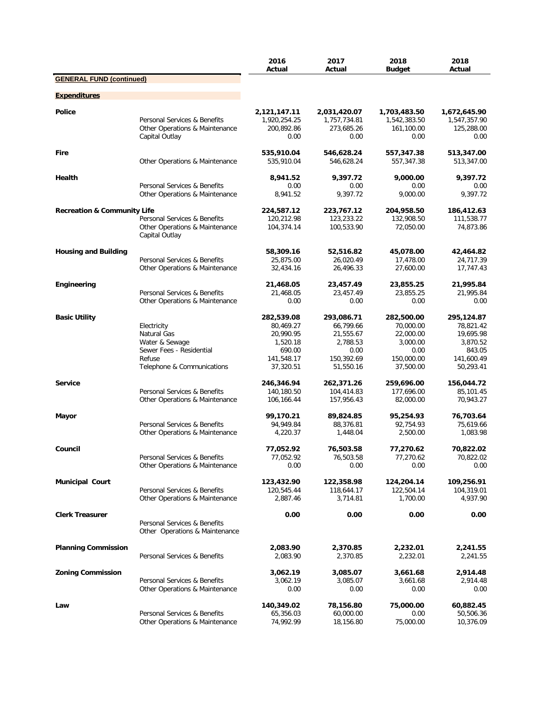|                                        |                                                                                  | 2016<br>Actual                                     | 2017<br>Actual                                     | 2018<br><b>Budget</b>                              | 2018<br>Actual                                     |
|----------------------------------------|----------------------------------------------------------------------------------|----------------------------------------------------|----------------------------------------------------|----------------------------------------------------|----------------------------------------------------|
| <b>GENERAL FUND (continued)</b>        |                                                                                  |                                                    |                                                    |                                                    |                                                    |
| <b>Expenditures</b>                    |                                                                                  |                                                    |                                                    |                                                    |                                                    |
| <b>Police</b>                          | Personal Services & Benefits<br>Other Operations & Maintenance<br>Capital Outlay | 2,121,147.11<br>1,920,254.25<br>200,892.86<br>0.00 | 2,031,420.07<br>1,757,734.81<br>273,685.26<br>0.00 | 1,703,483.50<br>1,542,383.50<br>161,100.00<br>0.00 | 1,672,645.90<br>1,547,357.90<br>125,288.00<br>0.00 |
| <b>Fire</b>                            | Other Operations & Maintenance                                                   | 535,910.04<br>535,910.04                           | 546,628.24<br>546,628.24                           | 557,347.38<br>557,347.38                           | 513,347.00<br>513,347.00                           |
| Health                                 | Personal Services & Benefits                                                     | 8,941.52<br>0.00                                   | 9,397.72<br>0.00                                   | 9,000.00<br>0.00                                   | 9,397.72<br>0.00                                   |
|                                        | Other Operations & Maintenance                                                   | 8,941.52                                           | 9,397.72                                           | 9,000.00                                           | 9,397.72                                           |
| <b>Recreation &amp; Community Life</b> | Personal Services & Benefits                                                     | 224,587.12<br>120,212.98                           | 223,767.12<br>123,233.22                           | 204,958.50<br>132,908.50                           | 186,412.63<br>111,538.77                           |
|                                        | Other Operations & Maintenance<br>Capital Outlay                                 | 104,374.14                                         | 100,533.90                                         | 72,050.00                                          | 74,873.86                                          |
| <b>Housing and Building</b>            | Personal Services & Benefits                                                     | 58,309.16<br>25,875.00                             | 52,516.82<br>26,020.49                             | 45,078.00<br>17,478.00                             | 42,464.82<br>24,717.39                             |
|                                        | Other Operations & Maintenance                                                   | 32,434.16                                          | 26,496.33                                          | 27,600.00                                          | 17,747.43                                          |
| Engineering                            |                                                                                  | 21,468.05                                          | 23,457.49                                          | 23,855.25                                          | 21,995.84                                          |
|                                        | Personal Services & Benefits<br>Other Operations & Maintenance                   | 21,468.05<br>0.00                                  | 23,457.49<br>0.00                                  | 23,855.25<br>0.00                                  | 21,995.84<br>0.00                                  |
| <b>Basic Utility</b>                   |                                                                                  | 282,539.08                                         | 293,086.71                                         | 282,500.00                                         | 295,124.87                                         |
|                                        | Electricity                                                                      | 80,469.27                                          | 66,799.66                                          | 70,000.00                                          | 78,821.42                                          |
|                                        | Natural Gas<br>Water & Sewage                                                    | 20,990.95<br>1,520.18                              | 21,555.67<br>2,788.53                              | 22,000.00<br>3,000.00                              | 19,695.98<br>3,870.52                              |
|                                        | Sewer Fees - Residential                                                         | 690.00                                             | 0.00                                               | 0.00                                               | 843.05                                             |
|                                        | Refuse                                                                           | 141,548.17                                         | 150,392.69                                         | 150,000.00                                         | 141,600.49                                         |
|                                        | Telephone & Communications                                                       | 37,320.51                                          | 51,550.16                                          | 37,500.00                                          | 50,293.41                                          |
| <b>Service</b>                         |                                                                                  | 246,346.94                                         | 262,371.26                                         | 259,696.00                                         | 156,044.72                                         |
|                                        | Personal Services & Benefits                                                     | 140,180.50                                         | 104,414.83                                         | 177,696.00                                         | 85,101.45                                          |
|                                        | Other Operations & Maintenance                                                   | 106,166.44                                         | 157,956.43                                         | 82,000.00                                          | 70,943.27                                          |
| Mayor                                  |                                                                                  | 99,170.21                                          | 89,824.85                                          | 95,254.93                                          | 76,703.64                                          |
|                                        | Personal Services & Benefits<br>Other Operations & Maintenance                   | 94,949.84<br>4,220.37                              | 88,376.81<br>1,448.04                              | 92,754.93<br>2,500.00                              | 75,619.66<br>1,083.98                              |
| Council                                |                                                                                  | 77,052.92                                          | 76,503.58                                          | 77,270.62                                          | 70,822.02                                          |
|                                        | Personal Services & Benefits                                                     | 77,052.92                                          | 76,503.58                                          | 77,270.62                                          | 70,822.02                                          |
|                                        | Other Operations & Maintenance                                                   | 0.00                                               | 0.00                                               | 0.00                                               | 0.00                                               |
| <b>Municipal Court</b>                 |                                                                                  | 123,432.90                                         | 122,358.98                                         | 124,204.14                                         | 109,256.91                                         |
|                                        | Personal Services & Benefits<br>Other Operations & Maintenance                   | 120,545.44<br>2,887.46                             | 118,644.17<br>3,714.81                             | 122,504.14<br>1,700.00                             | 104,319.01<br>4,937.90                             |
|                                        |                                                                                  |                                                    |                                                    |                                                    |                                                    |
| <b>Clerk Treasurer</b>                 | Personal Services & Benefits<br>Other Operations & Maintenance                   | 0.00                                               | 0.00                                               | 0.00                                               | 0.00                                               |
| <b>Planning Commission</b>             | Personal Services & Benefits                                                     | 2,083.90<br>2,083.90                               | 2,370.85<br>2,370.85                               | 2,232.01<br>2,232.01                               | 2,241.55<br>2,241.55                               |
| <b>Zoning Commission</b>               |                                                                                  | 3,062.19                                           | 3,085.07                                           | 3,661.68                                           | 2,914.48                                           |
|                                        | Personal Services & Benefits<br>Other Operations & Maintenance                   | 3,062.19<br>0.00                                   | 3,085.07<br>0.00                                   | 3,661.68<br>0.00                                   | 2,914.48<br>0.00                                   |
| Law                                    | Personal Services & Benefits<br>Other Operations & Maintenance                   | 140,349.02<br>65,356.03<br>74,992.99               | 78,156.80<br>60,000.00<br>18,156.80                | 75,000.00<br>0.00<br>75,000.00                     | 60,882.45<br>50,506.36<br>10,376.09                |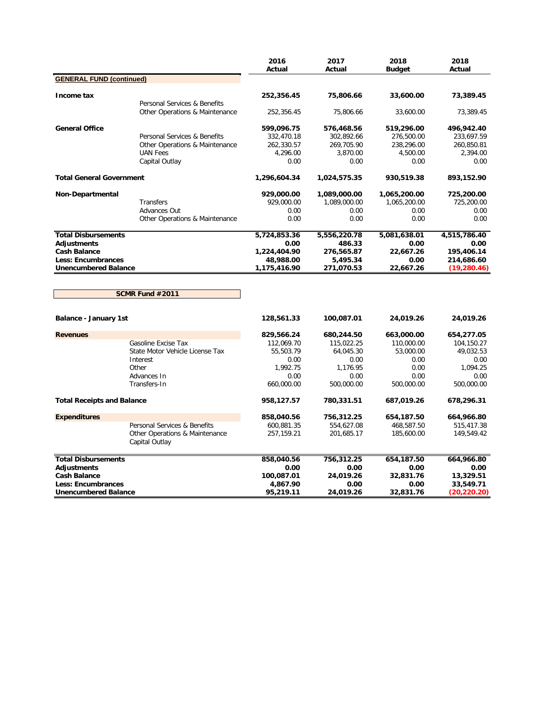|                                   |                                                  | 2016<br>Actual | 2017<br>Actual | 2018<br><b>Budget</b> | 2018<br>Actual |
|-----------------------------------|--------------------------------------------------|----------------|----------------|-----------------------|----------------|
| <b>GENERAL FUND (continued)</b>   |                                                  |                |                |                       |                |
|                                   |                                                  |                |                |                       |                |
| Income tax                        |                                                  | 252,356.45     | 75,806.66      | 33,600.00             | 73,389.45      |
|                                   | Personal Services & Benefits                     |                |                |                       |                |
|                                   | Other Operations & Maintenance                   | 252,356.45     | 75,806.66      | 33,600.00             | 73,389.45      |
| <b>General Office</b>             |                                                  | 599,096.75     | 576,468.56     | 519,296.00            | 496,942.40     |
|                                   | Personal Services & Benefits                     | 332,470.18     | 302,892.66     | 276,500.00            | 233,697.59     |
|                                   | Other Operations & Maintenance                   | 262,330.57     | 269,705.90     | 238,296.00            | 260,850.81     |
|                                   | <b>UAN Fees</b>                                  | 4,296.00       | 3,870.00       | 4,500.00              | 2,394.00       |
|                                   | Capital Outlay                                   | 0.00           | 0.00           | 0.00                  | 0.00           |
| <b>Total General Government</b>   |                                                  | 1,296,604.34   | 1,024,575.35   | 930,519.38            | 893,152.90     |
| Non-Departmental                  |                                                  | 929,000.00     | 1,089,000.00   | 1,065,200.00          | 725,200.00     |
|                                   | Transfers                                        | 929,000.00     | 1,089,000.00   | 1,065,200.00          | 725,200.00     |
|                                   | Advances Out                                     | 0.00           | 0.00           | 0.00                  | 0.00           |
|                                   | Other Operations & Maintenance                   | 0.00           | 0.00           | 0.00                  | 0.00           |
| <b>Total Disbursements</b>        |                                                  | 5,724,853.36   | 5,556,220.78   | 5,081,638.01          | 4,515,786.40   |
| Adjustments                       |                                                  | 0.00           | 486.33         | 0.00                  | 0.00           |
| <b>Cash Balance</b>               |                                                  | 1,224,404.90   | 276,565.87     | 22,667.26             | 195,406.14     |
| <b>Less: Encumbrances</b>         |                                                  | 48,988.00      | 5,495.34       | 0.00                  | 214,686.60     |
| <b>Unencumbered Balance</b>       |                                                  | 1,175,416.90   | 271,070.53     | 22,667.26             | (19, 280.46)   |
|                                   | SCMR Fund #2011                                  |                |                |                       |                |
| <b>Balance - January 1st</b>      |                                                  | 128,561.33     | 100,087.01     | 24,019.26             | 24,019.26      |
| <b>Revenues</b>                   |                                                  | 829,566.24     | 680,244.50     | 663,000.00            | 654,277.05     |
|                                   | Gasoline Excise Tax                              | 112,069.70     | 115,022.25     | 110,000.00            | 104,150.27     |
|                                   | State Motor Vehicle License Tax                  | 55,503.79      | 64,045.30      | 53,000.00             | 49,032.53      |
|                                   | Interest                                         | 0.00           | 0.00           | 0.00                  | 0.00           |
|                                   | Other                                            | 1,992.75       | 1,176.95       | 0.00                  | 1,094.25       |
|                                   | Advances In                                      | 0.00           | 0.00           | 0.00                  | 0.00           |
|                                   | Transfers-In                                     | 660,000.00     | 500,000.00     | 500,000.00            | 500,000.00     |
| <b>Total Receipts and Balance</b> |                                                  | 958,127.57     | 780,331.51     | 687,019.26            | 678,296.31     |
| <b>Expenditures</b>               |                                                  | 858,040.56     | 756,312.25     | 654,187.50            | 664,966.80     |
|                                   | Personal Services & Benefits                     | 600,881.35     | 554,627.08     | 468,587.50            | 515,417.38     |
|                                   | Other Operations & Maintenance<br>Capital Outlay | 257,159.21     | 201,685.17     | 185,600.00            | 149,549.42     |
| <b>Total Disbursements</b>        |                                                  | 858,040.56     | 756,312.25     | 654,187.50            | 664,966.80     |
| <b>Adjustments</b>                |                                                  | 0.00           | 0.00           | 0.00                  | 0.00           |
| <b>Cash Balance</b>               |                                                  | 100,087.01     | 24,019.26      | 32,831.76             | 13,329.51      |
| <b>Less: Encumbrances</b>         |                                                  | 4,867.90       | 0.00           | 0.00                  | 33,549.71      |
| <b>Unencumbered Balance</b>       |                                                  | 95,219.11      | 24,019.26      | 32,831.76             | (20,220.20)    |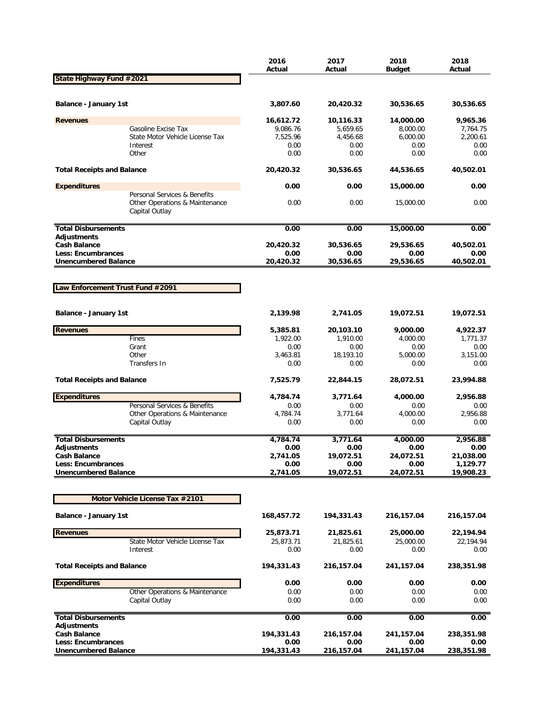|                                                   |                                                                                  | 2016<br>Actual   | 2017<br>Actual    | 2018<br><b>Budget</b> | 2018<br>Actual   |
|---------------------------------------------------|----------------------------------------------------------------------------------|------------------|-------------------|-----------------------|------------------|
| State Highway Fund #2021                          |                                                                                  |                  |                   |                       |                  |
|                                                   |                                                                                  |                  |                   |                       |                  |
| Balance - January 1st                             |                                                                                  | 3,807.60         | 20,420.32         | 30,536.65             | 30,536.65        |
| <b>Revenues</b>                                   |                                                                                  | 16,612.72        | 10,116.33         | 14,000.00             | 9,965.36         |
|                                                   | Gasoline Excise Tax                                                              | 9,086.76         | 5,659.65          | 8,000.00              | 7,764.75         |
|                                                   | State Motor Vehicle License Tax                                                  | 7,525.96         | 4,456.68          | 6,000.00              | 2,200.61         |
|                                                   | Interest<br>Other                                                                | 0.00<br>0.00     | 0.00<br>0.00      | 0.00<br>0.00          | 0.00<br>0.00     |
|                                                   |                                                                                  |                  |                   |                       |                  |
| <b>Total Receipts and Balance</b>                 |                                                                                  | 20,420.32        | 30,536.65         | 44,536.65             | 40,502.01        |
| <b>Expenditures</b>                               |                                                                                  | 0.00             | 0.00              | 15,000.00             | 0.00             |
|                                                   | Personal Services & Benefits<br>Other Operations & Maintenance<br>Capital Outlay | 0.00             | 0.00              | 15,000.00             | 0.00             |
| <b>Total Disbursements</b>                        |                                                                                  | 0.00             | 0.00              | 15,000.00             | 0.00             |
| <b>Adjustments</b>                                |                                                                                  |                  |                   |                       |                  |
| <b>Cash Balance</b>                               |                                                                                  | 20,420.32        | 30,536.65         | 29,536.65             | 40,502.01        |
| Less: Encumbrances<br><b>Unencumbered Balance</b> |                                                                                  | 0.00             | 0.00<br>30.536.65 | 0.00                  | 0.00             |
|                                                   |                                                                                  | 20,420.32        |                   | 29,536.65             | 40,502.01        |
|                                                   |                                                                                  |                  |                   |                       |                  |
| Law Enforcement Trust Fund #2091                  |                                                                                  |                  |                   |                       |                  |
|                                                   |                                                                                  |                  |                   |                       |                  |
| Balance - January 1st                             |                                                                                  | 2,139.98         | 2,741.05          | 19,072.51             | 19,072.51        |
| <b>Revenues</b>                                   |                                                                                  | 5,385.81         | 20,103.10         | 9,000.00              | 4,922.37         |
|                                                   | Fines                                                                            | 1,922.00         | 1,910.00          | 4,000.00              | 1,771.37         |
|                                                   | Grant                                                                            | 0.00             | 0.00              | 0.00                  | 0.00             |
|                                                   | Other                                                                            | 3,463.81         | 18,193.10         | 5,000.00              | 3,151.00         |
|                                                   | Transfers In                                                                     | 0.00             | 0.00              | 0.00                  | 0.00             |
| <b>Total Receipts and Balance</b>                 |                                                                                  | 7,525.79         | 22,844.15         | 28,072.51             | 23,994.88        |
| <b>Expenditures</b>                               |                                                                                  | 4,784.74         | 3,771.64          | 4,000.00              | 2,956.88         |
|                                                   | Personal Services & Benefits                                                     | 0.00             | 0.00              | 0.00                  | 0.00             |
|                                                   | Other Operations & Maintenance                                                   | 4,784.74         | 3,771.64          | 4,000.00              | 2,956.88         |
|                                                   | Capital Outlay                                                                   | 0.00             | 0.00              | 0.00                  | 0.00             |
| <b>Total Disbursements</b>                        |                                                                                  |                  |                   | 4,000.00              |                  |
| <b>Adjustments</b>                                |                                                                                  | 4,784.74<br>0.00 | 3,771.64<br>0.00  | 0.00                  | 2,956.88<br>0.00 |
| <b>Cash Balance</b>                               |                                                                                  | 2,741.05         | 19,072.51         | 24,072.51             | 21,038.00        |
| <b>Less: Encumbrances</b>                         |                                                                                  | 0.00             | 0.00              | 0.00                  | 1,129.77         |
| <b>Unencumbered Balance</b>                       |                                                                                  | 2,741.05         | 19,072.51         | 24,072.51             | 19,908.23        |
|                                                   |                                                                                  |                  |                   |                       |                  |
|                                                   | Motor Vehicle License Tax #2101                                                  |                  |                   |                       |                  |
| <b>Balance - January 1st</b>                      |                                                                                  | 168,457.72       | 194,331.43        | 216,157.04            | 216,157.04       |
| <b>Revenues</b>                                   |                                                                                  | 25,873.71        | 21,825.61         | 25,000.00             | 22,194.94        |
|                                                   | State Motor Vehicle License Tax                                                  | 25,873.71        | 21,825.61         | 25,000.00             | 22,194.94        |
|                                                   | Interest                                                                         | 0.00             | 0.00              | 0.00                  | 0.00             |
| <b>Total Receipts and Balance</b>                 |                                                                                  | 194,331.43       | 216,157.04        | 241,157.04            | 238,351.98       |
| <b>Expenditures</b>                               |                                                                                  | 0.00             | 0.00              | 0.00                  | 0.00             |
|                                                   | Other Operations & Maintenance                                                   | 0.00             | 0.00              | 0.00                  | 0.00             |
|                                                   | Capital Outlay                                                                   | 0.00             | 0.00              | 0.00                  | 0.00             |
| <b>Total Disbursements</b><br><b>Adjustments</b>  |                                                                                  | 0.00             | 0.00              | 0.00                  | 0.00             |
| <b>Cash Balance</b>                               |                                                                                  | 194,331.43       | 216,157.04        | 241,157.04            | 238,351.98       |
| Less: Encumbrances                                |                                                                                  | 0.00             | 0.00              | 0.00                  | 0.00             |
| <b>Unencumbered Balance</b>                       |                                                                                  | 194,331.43       | 216,157.04        | 241, 157.04           | 238,351.98       |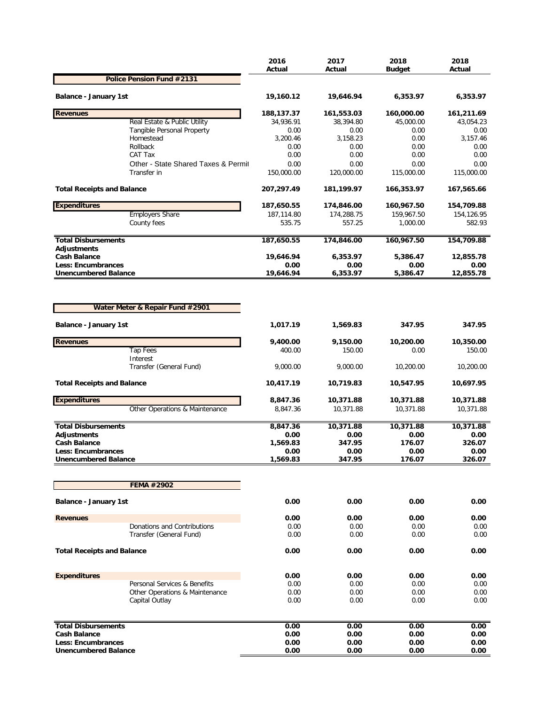|                                           |                                         | 2016<br>Actual    | 2017<br>Actual    | 2018<br><b>Budget</b> | 2018<br>Actual    |
|-------------------------------------------|-----------------------------------------|-------------------|-------------------|-----------------------|-------------------|
|                                           | Police Pension Fund #2131               |                   |                   |                       |                   |
| Balance - January 1st                     |                                         | 19,160.12         | 19,646.94         | 6,353.97              | 6,353.97          |
|                                           |                                         |                   |                   |                       |                   |
| <b>Revenues</b>                           |                                         | 188,137.37        | 161,553.03        | 160,000.00            | 161,211.69        |
|                                           | Real Estate & Public Utility            | 34,936.91<br>0.00 | 38,394.80<br>0.00 | 45,000.00<br>0.00     | 43,054.23<br>0.00 |
|                                           | Tangible Personal Property<br>Homestead | 3,200.46          | 3,158.23          | 0.00                  | 3,157.46          |
|                                           | Rollback                                | 0.00              | 0.00              | 0.00                  | 0.00              |
|                                           | CAT Tax                                 | 0.00              | 0.00              | 0.00                  | 0.00              |
|                                           | Other - State Shared Taxes & Permit     | 0.00              | 0.00              | 0.00                  | 0.00              |
|                                           | Transfer in                             | 150,000.00        | 120,000.00        | 115,000.00            | 115,000.00        |
| <b>Total Receipts and Balance</b>         |                                         | 207,297.49        | 181,199.97        | 166,353.97            | 167,565.66        |
| <b>Expenditures</b>                       |                                         | 187,650.55        | 174,846.00        | 160,967.50            | 154,709.88        |
|                                           | <b>Employers Share</b>                  | 187,114.80        | 174,288.75        | 159,967.50            | 154,126.95        |
|                                           | County fees                             | 535.75            | 557.25            | 1,000.00              | 582.93            |
| <b>Total Disbursements</b>                |                                         | 187,650.55        | 174,846.00        | 160,967.50            | 154,709.88        |
| <b>Adjustments</b><br><b>Cash Balance</b> |                                         | 19,646.94         | 6,353.97          | 5,386.47              | 12,855.78         |
| Less: Encumbrances                        |                                         | 0.00              | 0.00              | 0.00                  | 0.00              |
| <b>Unencumbered Balance</b>               |                                         | 19,646.94         | 6,353.97          | 5,386.47              | 12,855.78         |
| Balance - January 1st                     | Water Meter & Repair Fund #2901         | 1,017.19          | 1,569.83          | 347.95                | 347.95            |
| <b>Revenues</b>                           |                                         | 9,400.00          | 9,150.00          | 10,200.00             | 10,350.00         |
|                                           | <b>Tap Fees</b>                         | 400.00            | 150.00            | 0.00                  | 150.00            |
|                                           | Interest                                |                   |                   |                       |                   |
|                                           | Transfer (General Fund)                 | 9,000.00          | 9,000.00          | 10,200.00             | 10,200.00         |
| <b>Total Receipts and Balance</b>         |                                         | 10,417.19         | 10,719.83         | 10,547.95             | 10,697.95         |
| <b>Expenditures</b>                       |                                         | 8,847.36          | 10,371.88         | 10,371.88             | 10,371.88         |
|                                           | Other Operations & Maintenance          | 8,847.36          | 10,371.88         | 10,371.88             | 10,371.88         |
| <b>Total Disbursements</b>                |                                         | 8,847.36          | 10,371.88         | 10,371.88             | 10,371.88         |
| <b>Adjustments</b>                        |                                         | 0.00              | 0.00              | 0.00                  | 0.00              |
| <b>Cash Balance</b>                       |                                         | 1,569.83          | 347.95            | 176.07                | 326.07            |
| Less: Encumbrances                        |                                         | 0.00              | 0.00              | 0.00                  | 0.00              |
| <b>Unencumbered Balance</b>               |                                         | 1,569.83          | 347.95            | 176.07                | 326.07            |
|                                           | FEMA #2902                              |                   |                   |                       |                   |
| <b>Balance - January 1st</b>              |                                         | 0.00              | 0.00              | 0.00                  | 0.00              |
| <b>Revenues</b>                           |                                         | 0.00              | 0.00              | 0.00                  | 0.00              |
|                                           | Donations and Contributions             | 0.00              | 0.00              | 0.00                  | 0.00              |
|                                           | Transfer (General Fund)                 | 0.00              | 0.00              | 0.00                  | 0.00              |
| <b>Total Receipts and Balance</b>         |                                         | 0.00              | 0.00              | 0.00                  | 0.00              |
|                                           |                                         |                   |                   |                       |                   |
| <b>Expenditures</b>                       |                                         | 0.00              | 0.00              | 0.00                  | 0.00              |
|                                           | Personal Services & Benefits            | 0.00              | 0.00              | 0.00                  | 0.00              |
|                                           | Other Operations & Maintenance          | 0.00              | 0.00              | 0.00                  | 0.00              |
|                                           | Capital Outlay                          | 0.00              | 0.00              | 0.00                  | 0.00              |
| <b>Total Disbursements</b>                |                                         | 0.00              | 0.00              | 0.00                  | 0.00              |
| <b>Cash Balance</b>                       |                                         | 0.00              | 0.00              | 0.00                  | 0.00              |
| Less: Encumbrances                        |                                         | 0.00              | 0.00              | 0.00                  | 0.00              |
| <b>Unencumbered Balance</b>               |                                         | 0.00              | 0.00              | 0.00                  | 0.00              |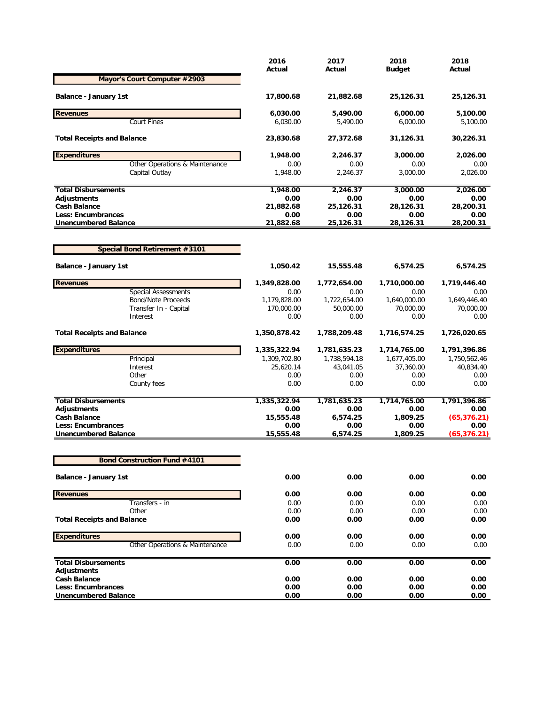| Actual<br>Actual<br><b>Budget</b><br>Mayor's Court Computer #2903<br>Balance - January 1st<br>17,800.68<br>21,882.68<br>25,126.31 | Actual<br>25,126.31<br>5,100.00<br>5,100.00 |
|-----------------------------------------------------------------------------------------------------------------------------------|---------------------------------------------|
|                                                                                                                                   |                                             |
|                                                                                                                                   |                                             |
| <b>Revenues</b><br>5,490.00<br>6,030.00<br>6,000.00                                                                               |                                             |
| <b>Court Fines</b><br>6,030.00<br>6,000.00<br>5,490.00                                                                            |                                             |
| <b>Total Receipts and Balance</b><br>27,372.68<br>31,126.31<br>23,830.68                                                          | 30,226.31                                   |
| <b>Expenditures</b><br>1,948.00<br>2,246.37<br>3,000.00                                                                           | 2,026.00                                    |
| Other Operations & Maintenance<br>0.00<br>0.00<br>0.00<br>3,000.00<br>Capital Outlay<br>1,948.00<br>2,246.37                      | 0.00<br>2,026.00                            |
| 1,948.00<br>2,246.37<br>3,000.00<br><b>Total Disbursements</b>                                                                    | 2,026.00                                    |
| Adjustments<br>0.00<br>0.00<br>0.00                                                                                               | 0.00                                        |
| <b>Cash Balance</b><br>25,126.31<br>21,882.68<br>28,126.31                                                                        | 28,200.31                                   |
| 0.00<br><b>Less: Encumbrances</b><br>0.00<br>0.00<br><b>Unencumbered Balance</b><br>21,882.68<br>25,126.31<br>28,126.31           | 0.00<br>28,200.31                           |
|                                                                                                                                   |                                             |
| <b>Special Bond Retirement #3101</b>                                                                                              |                                             |
| <b>Balance - January 1st</b><br>1,050.42<br>15,555.48<br>6,574.25                                                                 | 6,574.25                                    |
| <b>Revenues</b><br>1,349,828.00<br>1,772,654.00<br>1,710,000.00                                                                   | 1,719,446.40                                |
| <b>Special Assessments</b><br>0.00<br>0.00<br>0.00                                                                                | 0.00                                        |
| <b>Bond/Note Proceeds</b><br>1,179,828.00<br>1,640,000.00<br>1,722,654.00                                                         | 1,649,446.40                                |
| 170,000.00<br>70,000.00<br>Transfer In - Capital<br>50,000.00<br>0.00<br>Interest<br>0.00<br>0.00                                 | 70,000.00<br>0.00                           |
| 1,350,878.42<br><b>Total Receipts and Balance</b><br>1,788,209.48<br>1,716,574.25                                                 | 1,726,020.65                                |
| <b>Expenditures</b><br>1,335,322.94<br>1,781,635.23<br>1,714,765.00                                                               | 1,791,396.86                                |
| Principal<br>1,309,702.80<br>1,738,594.18<br>1,677,405.00                                                                         | 1,750,562.46                                |
| Interest<br>25,620.14<br>43,041.05<br>37,360.00                                                                                   | 40,834.40                                   |
| Other<br>0.00<br>0.00<br>0.00                                                                                                     | 0.00                                        |
| County fees<br>0.00<br>0.00<br>0.00                                                                                               | 0.00                                        |
| <b>Total Disbursements</b><br>1,335,322.94<br>1,781,635.23<br>1,714,765.00                                                        | 1,791,396.86                                |
| Adjustments<br>0.00<br>0.00<br>0.00                                                                                               | 0.00                                        |
| 1,809.25<br><b>Cash Balance</b><br>15,555.48<br>6,574.25                                                                          | (65, 376.21)                                |
| <b>Less: Encumbrances</b><br>0.00<br>0.00<br>0.00<br>15,555.48<br>6,574.25<br><b>Unencumbered Balance</b><br>1,809.25             | 0.00<br>(65, 376.21)                        |
|                                                                                                                                   |                                             |
| <b>Bond Construction Fund #4101</b>                                                                                               |                                             |
| 0.00<br>0.00<br>0.00<br><b>Balance - January 1st</b>                                                                              | 0.00                                        |
| 0.00<br><b>Revenues</b><br>0.00<br>0.00                                                                                           | 0.00                                        |
| Transfers - in<br>0.00<br>0.00<br>0.00                                                                                            | 0.00                                        |
| Other<br>0.00<br>0.00<br>0.00                                                                                                     | 0.00                                        |
| <b>Total Receipts and Balance</b><br>0.00<br>0.00<br>0.00                                                                         | 0.00                                        |
| <b>Expenditures</b><br>0.00<br>0.00<br>0.00                                                                                       | 0.00                                        |
| Other Operations & Maintenance<br>0.00<br>0.00<br>0.00                                                                            | 0.00                                        |
| 0.00<br>0.00<br>0.00<br><b>Total Disbursements</b>                                                                                | 0.00                                        |
| Adjustments<br><b>Cash Balance</b><br>0.00<br>0.00                                                                                | 0.00                                        |
| 0.00<br><b>Less: Encumbrances</b><br>0.00<br>0.00<br>0.00                                                                         | 0.00                                        |
| <b>Unencumbered Balance</b><br>0.00<br>0.00<br>0.00                                                                               | 0.00                                        |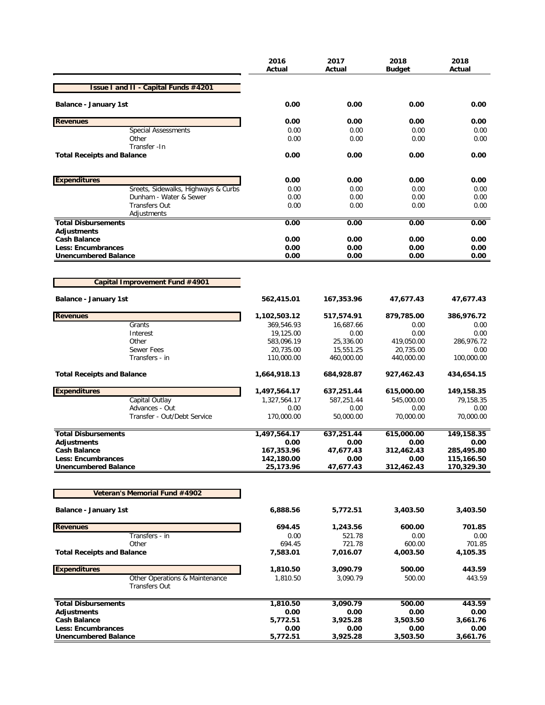|                                                        | 2016<br>Actual          | 2017<br>Actual         | 2018<br>Budget          | 2018<br>Actual     |
|--------------------------------------------------------|-------------------------|------------------------|-------------------------|--------------------|
| <b>Issue I and II - Capital Funds #4201</b>            |                         |                        |                         |                    |
| <b>Balance - January 1st</b>                           | 0.00                    | 0.00                   | 0.00                    | 0.00               |
| <b>Revenues</b>                                        | 0.00                    | 0.00                   | 0.00                    | 0.00               |
| <b>Special Assessments</b>                             | 0.00                    | 0.00                   | 0.00                    | 0.00               |
| Other                                                  | 0.00                    | 0.00                   | 0.00                    | 0.00               |
| Transfer - In<br><b>Total Receipts and Balance</b>     | 0.00                    | 0.00                   | 0.00                    | 0.00               |
| <b>Expenditures</b>                                    | 0.00                    | 0.00                   | 0.00                    | 0.00               |
| Sreets, Sidewalks, Highways & Curbs                    | 0.00                    | 0.00                   | 0.00                    | 0.00               |
| Dunham - Water & Sewer                                 | 0.00                    | 0.00                   | 0.00                    | 0.00               |
| <b>Transfers Out</b>                                   | 0.00                    | 0.00                   | 0.00                    | 0.00               |
| Adjustments                                            |                         |                        |                         |                    |
| <b>Total Disbursements</b><br>Adjustments              | 0.00                    | 0.00                   | 0.00                    | 0.00               |
| <b>Cash Balance</b>                                    | 0.00                    | 0.00                   | 0.00                    | 0.00               |
| <b>Less: Encumbrances</b>                              | 0.00                    | 0.00                   | 0.00                    | 0.00               |
| <b>Unencumbered Balance</b>                            | 0.00                    | 0.00                   | 0.00                    | 0.00               |
|                                                        |                         |                        |                         |                    |
| Capital Improvement Fund #4901                         |                         |                        |                         |                    |
| <b>Balance - January 1st</b>                           | 562,415.01              | 167,353.96             | 47,677.43               | 47,677.43          |
| <b>Revenues</b>                                        | 1,102,503.12            | 517,574.91             | 879,785.00              | 386,976.72         |
| Grants                                                 | 369,546.93              | 16,687.66              | 0.00                    | 0.00               |
| Interest                                               | 19,125.00               | 0.00                   | 0.00                    | 0.00               |
| Other<br><b>Sewer Fees</b>                             | 583,096.19              | 25,336.00<br>15,551.25 | 419,050.00              | 286,976.72<br>0.00 |
| Transfers - in                                         | 20,735.00<br>110,000.00 | 460,000.00             | 20,735.00<br>440,000.00 | 100,000.00         |
| <b>Total Receipts and Balance</b>                      | 1,664,918.13            | 684,928.87             | 927,462.43              | 434,654.15         |
| <b>Expenditures</b>                                    | 1,497,564.17            | 637,251.44             | 615,000.00              | 149,158.35         |
| Capital Outlay                                         | 1,327,564.17            | 587,251.44             | 545,000.00              | 79,158.35          |
| Advances - Out                                         | 0.00                    | 0.00                   | 0.00                    | 0.00               |
| Transfer - Out/Debt Service                            | 170,000.00              | 50,000.00              | 70,000.00               | 70,000.00          |
| <b>Total Disbursements</b>                             | 1,497,564.17            | 637,251.44             | 615,000.00              | 149,158.35         |
| <b>Adjustments</b><br><b>Cash Balance</b>              | 0.00<br>167,353.96      | 0.00<br>47,677.43      | 0.00<br>312,462.43      | 0.00<br>285,495.80 |
| <b>Less: Encumbrances</b>                              | 142,180.00              | 0.00                   | 0.00                    | 115,166.50         |
| <b>Unencumbered Balance</b>                            | 25,173.96               | 47,677.43              | 312,462.43              | 170,329.30         |
|                                                        |                         |                        |                         |                    |
| Veteran's Memorial Fund #4902                          |                         |                        |                         |                    |
| <b>Balance - January 1st</b>                           | 6,888.56                | 5,772.51               | 3,403.50                | 3,403.50           |
| <b>Revenues</b>                                        | 694.45                  | 1,243.56               | 600.00                  | 701.85             |
| Transfers - in                                         | 0.00                    | 521.78                 | 0.00                    | 0.00               |
| Other                                                  | 694.45                  | 721.78                 | 600.00                  | 701.85             |
| <b>Total Receipts and Balance</b>                      | 7,583.01                | 7,016.07               | 4,003.50                | 4,105.35           |
| <b>Expenditures</b>                                    | 1,810.50                | 3,090.79               | 500.00                  | 443.59             |
| Other Operations & Maintenance<br><b>Transfers Out</b> | 1,810.50                | 3,090.79               | 500.00                  | 443.59             |
| <b>Total Disbursements</b>                             | 1,810.50                | 3,090.79               | 500.00                  | 443.59             |
| Adjustments                                            | 0.00                    | 0.00                   | 0.00                    | 0.00               |
| <b>Cash Balance</b>                                    | 5,772.51                | 3,925.28               | 3,503.50                | 3,661.76           |
| <b>Less: Encumbrances</b>                              | 0.00                    | 0.00                   | 0.00                    | 0.00               |
| <b>Unencumbered Balance</b>                            | 5,772.51                | 3,925.28               | 3,503.50                | 3,661.76           |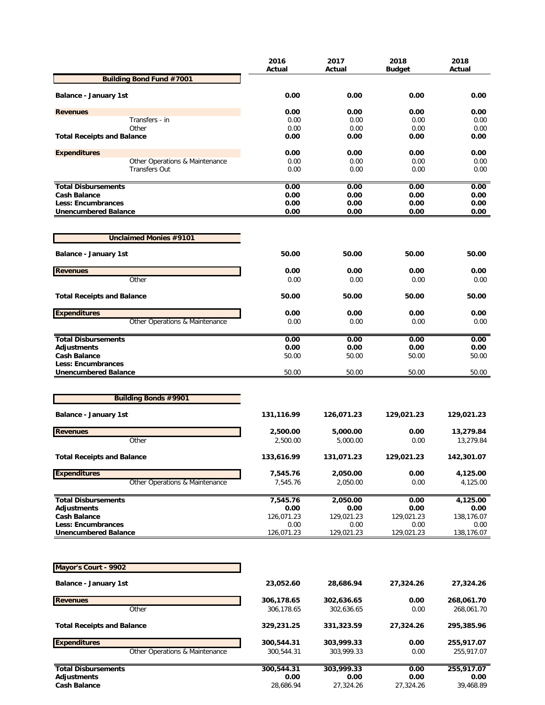|                                                   | 2016<br>Actual | 2017<br>Actual | 2018<br><b>Budget</b> | 2018<br>Actual |
|---------------------------------------------------|----------------|----------------|-----------------------|----------------|
| <b>Building Bond Fund #7001</b>                   |                |                |                       |                |
| <b>Balance - January 1st</b>                      | 0.00           | 0.00           | 0.00                  | 0.00           |
|                                                   | 0.00           |                | 0.00                  |                |
| <b>Revenues</b><br>Transfers - in                 | 0.00           | 0.00<br>0.00   | 0.00                  | 0.00<br>0.00   |
| Other                                             | 0.00           | 0.00           | 0.00                  | 0.00           |
| <b>Total Receipts and Balance</b>                 | 0.00           | 0.00           | 0.00                  | 0.00           |
| <b>Expenditures</b>                               | 0.00           | 0.00           | 0.00                  | 0.00           |
| Other Operations & Maintenance                    | 0.00           | 0.00           | 0.00                  | 0.00           |
| <b>Transfers Out</b>                              | 0.00           | 0.00           | 0.00                  | 0.00           |
| <b>Total Disbursements</b>                        | 0.00           | 0.00           | 0.00                  | 0.00           |
| <b>Cash Balance</b>                               | 0.00           | 0.00           | 0.00                  | 0.00           |
| Less: Encumbrances                                | 0.00           | 0.00           | 0.00                  | 0.00           |
| <b>Unencumbered Balance</b>                       | 0.00           | 0.00           | 0.00                  | 0.00           |
| <b>Unclaimed Monies #9101</b>                     |                |                |                       |                |
| <b>Balance - January 1st</b>                      | 50.00          | 50.00          | 50.00                 | 50.00          |
| <b>Revenues</b>                                   | 0.00           | 0.00           | 0.00                  | 0.00           |
| Other                                             | 0.00           | 0.00           | 0.00                  | 0.00           |
| <b>Total Receipts and Balance</b>                 | 50.00          | 50.00          | 50.00                 | 50.00          |
| <b>Expenditures</b>                               | 0.00           | 0.00           | 0.00                  | 0.00           |
| Other Operations & Maintenance                    | 0.00           | 0.00           | 0.00                  | 0.00           |
| <b>Total Disbursements</b>                        | 0.00           | 0.00           | 0.00                  | 0.00           |
| <b>Adjustments</b>                                | 0.00           | 0.00           | 0.00                  | 0.00           |
| <b>Cash Balance</b>                               | 50.00          | 50.00          | 50.00                 | 50.00          |
| Less: Encumbrances<br><b>Unencumbered Balance</b> | 50.00          | 50.00          | 50.00                 | 50.00          |
|                                                   |                |                |                       |                |
| <b>Building Bonds #9901</b>                       |                |                |                       |                |
| <b>Balance - January 1st</b>                      | 131,116.99     | 126,071.23     | 129,021.23            | 129,021.23     |
| <b>Revenues</b>                                   | 2,500.00       | 5,000.00       | 0.00                  | 13,279.84      |
| Other                                             | 2,500.00       | 5,000.00       | 0.00                  | 13,279.84      |
| <b>Total Receipts and Balance</b>                 | 133,616.99     | 131,071.23     | 129,021.23            | 142,301.07     |
| <b>Expenditures</b>                               | 7,545.76       | 2,050.00       | 0.00                  | 4,125.00       |
| Other Operations & Maintenance                    | 7,545.76       | 2,050.00       | 0.00                  | 4,125.00       |
| <b>Total Disbursements</b>                        | 7,545.76       | 2,050.00       | 0.00                  | 4,125.00       |
| <b>Adjustments</b>                                | 0.00           | 0.00           | 0.00                  | 0.00           |
| <b>Cash Balance</b>                               | 126,071.23     | 129,021.23     | 129,021.23            | 138,176.07     |
| <b>Less: Encumbrances</b>                         | 0.00           | 0.00           | 0.00                  | 0.00           |
| <b>Unencumbered Balance</b>                       | 126,071.23     | 129,021.23     | 129,021.23            | 138,176.07     |
| Mayor's Court - 9902                              |                |                |                       |                |
| Balance - January 1st                             | 23,052.60      | 28,686.94      | 27,324.26             |                |
|                                                   |                |                |                       | 27,324.26      |
| <b>Revenues</b>                                   | 306,178.65     | 302,636.65     | 0.00                  | 268,061.70     |
| Other                                             | 306,178.65     | 302,636.65     | 0.00                  | 268,061.70     |
| <b>Total Receipts and Balance</b>                 | 329,231.25     | 331,323.59     | 27,324.26             | 295,385.96     |
| <b>Expenditures</b>                               | 300,544.31     | 303,999.33     | 0.00                  | 255,917.07     |
| Other Operations & Maintenance                    | 300,544.31     | 303,999.33     | 0.00                  | 255,917.07     |
| <b>Total Disbursements</b>                        | 300,544.31     | 303,999.33     | 0.00                  | 255,917.07     |
| <b>Adjustments</b>                                | 0.00           | 0.00           | 0.00                  | 0.00           |
| <b>Cash Balance</b>                               | 28,686.94      | 27,324.26      | 27,324.26             | 39,468.89      |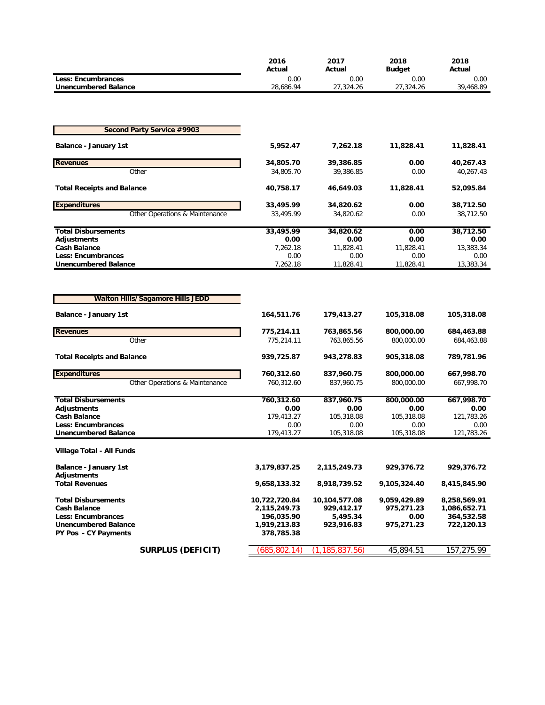|                                                          | 2016<br>Actual                | 2017<br>Actual              | 2018<br><b>Budget</b>      | 2018<br>Actual               |
|----------------------------------------------------------|-------------------------------|-----------------------------|----------------------------|------------------------------|
| <b>Less: Encumbrances</b>                                | 0.00                          | 0.00                        | 0.00                       | 0.00                         |
| <b>Unencumbered Balance</b>                              | 28,686.94                     | 27,324.26                   | 27,324.26                  | 39,468.89                    |
|                                                          |                               |                             |                            |                              |
|                                                          |                               |                             |                            |                              |
| <b>Second Party Service #9903</b>                        |                               |                             |                            |                              |
|                                                          |                               |                             |                            |                              |
| <b>Balance - January 1st</b>                             | 5,952.47                      | 7,262.18                    | 11,828.41                  | 11,828.41                    |
| <b>Revenues</b>                                          | 34,805.70                     | 39,386.85                   | 0.00                       | 40,267.43                    |
| Other                                                    | 34,805.70                     | 39,386.85                   | 0.00                       | 40,267.43                    |
| <b>Total Receipts and Balance</b>                        | 40,758.17                     | 46,649.03                   | 11,828.41                  | 52,095.84                    |
|                                                          |                               |                             |                            |                              |
| <b>Expenditures</b>                                      | 33,495.99                     | 34,820.62                   | 0.00                       | 38,712.50                    |
| Other Operations & Maintenance                           | 33,495.99                     | 34,820.62                   | 0.00                       | 38,712.50                    |
| <b>Total Disbursements</b>                               | 33,495.99                     | 34,820.62                   | 0.00                       | 38,712.50                    |
| <b>Adjustments</b>                                       | 0.00                          | 0.00                        | 0.00                       | 0.00                         |
| <b>Cash Balance</b>                                      | 7,262.18                      | 11,828.41                   | 11,828.41                  | 13,383.34                    |
| <b>Less: Encumbrances</b><br><b>Unencumbered Balance</b> | 0.00<br>7,262.18              | 0.00<br>11,828.41           | 0.00<br>11,828.41          | 0.00<br>13,383.34            |
|                                                          |                               |                             |                            |                              |
|                                                          |                               |                             |                            |                              |
|                                                          |                               |                             |                            |                              |
| <b>Walton Hills/Sagamore Hills JEDD</b>                  |                               |                             |                            |                              |
| <b>Balance - January 1st</b>                             | 164,511.76                    | 179,413.27                  | 105,318.08                 | 105,318.08                   |
|                                                          |                               |                             |                            |                              |
| <b>Revenues</b><br>Other                                 | 775,214.11<br>775,214.11      | 763,865.56<br>763,865.56    | 800,000.00<br>800,000.00   | 684,463.88<br>684,463.88     |
|                                                          |                               |                             |                            |                              |
| <b>Total Receipts and Balance</b>                        | 939,725.87                    | 943,278.83                  | 905,318.08                 | 789,781.96                   |
| <b>Expenditures</b>                                      | 760,312.60                    | 837,960.75                  | 800,000.00                 | 667,998.70                   |
| Other Operations & Maintenance                           | 760,312.60                    | 837,960.75                  | 800,000.00                 | 667,998.70                   |
|                                                          |                               |                             |                            |                              |
| <b>Total Disbursements</b>                               | 760,312.60                    | 837,960.75                  | 800,000.00                 | 667,998.70                   |
| <b>Adjustments</b><br><b>Cash Balance</b>                | 0.00<br>179,413.27            | 0.00<br>105,318.08          | 0.00<br>105,318.08         | 0.00<br>121,783.26           |
| <b>Less: Encumbrances</b>                                | 0.00                          | 0.00                        | 0.00                       | 0.00                         |
| <b>Unencumbered Balance</b>                              | 179,413.27                    | 105,318.08                  | 105,318.08                 | 121,783.26                   |
| Village Total - All Funds                                |                               |                             |                            |                              |
|                                                          | 3,179,837.25                  |                             |                            |                              |
| <b>Balance - January 1st</b><br>Adjustments              |                               | 2,115,249.73                | 929,376.72                 | 929,376.72                   |
| <b>Total Revenues</b>                                    | 9,658,133.32                  | 8,918,739.52                | 9,105,324.40               | 8,415,845.90                 |
|                                                          |                               |                             |                            |                              |
| <b>Total Disbursements</b><br><b>Cash Balance</b>        | 10,722,720.84<br>2,115,249.73 | 10,104,577.08<br>929,412.17 | 9,059,429.89<br>975,271.23 | 8,258,569.91<br>1,086,652.71 |
| <b>Less: Encumbrances</b>                                | 196,035.90                    | 5,495.34                    | 0.00                       | 364,532.58                   |
| <b>Unencumbered Balance</b>                              | 1,919,213.83                  | 923,916.83                  | 975,271.23                 | 722,120.13                   |
| PY Pos - CY Payments                                     | 378,785.38                    |                             |                            |                              |
| <b>SURPLUS (DEFICIT)</b>                                 | (685, 802.14)                 | (1, 185, 837.56)            | 45,894.51                  | 157,275.99                   |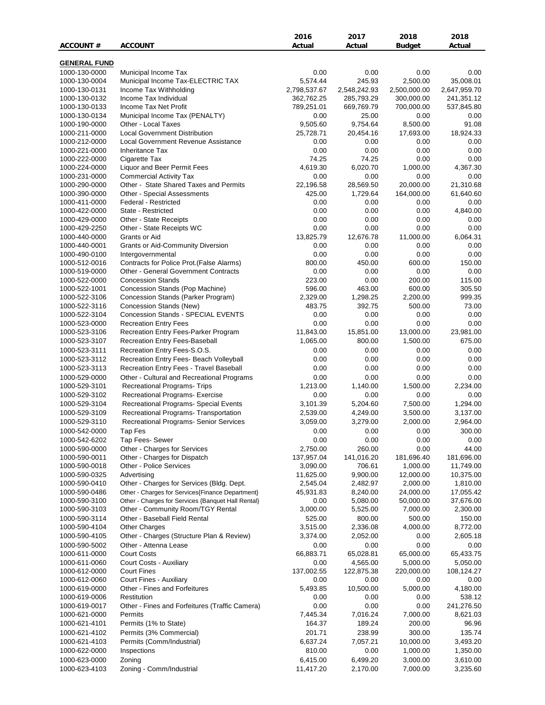|                                |                                                               | 2016                     | 2017                   | 2018                     | 2018                      |
|--------------------------------|---------------------------------------------------------------|--------------------------|------------------------|--------------------------|---------------------------|
| <b>ACCOUNT#</b>                | <b>ACCOUNT</b>                                                | Actual                   | Actual                 | Budget                   | Actual                    |
|                                |                                                               |                          |                        |                          |                           |
| <b>GENERAL FUND</b>            |                                                               |                          |                        |                          |                           |
| 1000-130-0000                  | Municipal Income Tax                                          | 0.00                     | 0.00                   | 0.00                     | 0.00                      |
| 1000-130-0004<br>1000-130-0131 | Municipal Income Tax-ELECTRIC TAX<br>Income Tax Withholding   | 5,574.44<br>2,798,537.67 | 245.93<br>2,548,242.93 | 2,500.00<br>2,500,000.00 | 35,008.01<br>2,647,959.70 |
| 1000-130-0132                  | Income Tax Individual                                         | 362,762.25               | 285,793.29             | 300,000.00               | 241,351.12                |
| 1000-130-0133                  | Income Tax Net Profit                                         | 789,251.01               | 669,769.79             | 700,000.00               | 537,845.80                |
| 1000-130-0134                  | Municipal Income Tax (PENALTY)                                | 0.00                     | 25.00                  | 0.00                     | 0.00                      |
| 1000-190-0000                  | Other - Local Taxes                                           | 9,505.60                 | 9,754.64               | 8,500.00                 | 91.08                     |
| 1000-211-0000                  | <b>Local Government Distribution</b>                          | 25,728.71                | 20,454.16              | 17,693.00                | 18,924.33                 |
| 1000-212-0000                  | Local Government Revenue Assistance                           | 0.00                     | 0.00                   | 0.00                     | 0.00                      |
| 1000-221-0000                  | <b>Inheritance Tax</b>                                        | 0.00                     | 0.00                   | 0.00                     | 0.00                      |
| 1000-222-0000                  | Cigarette Tax                                                 | 74.25                    | 74.25                  | 0.00                     | 0.00                      |
| 1000-224-0000                  | Liquor and Beer Permit Fees                                   | 4,619.30                 | 6,020.70               | 1,000.00                 | 4,367.30                  |
| 1000-231-0000                  | <b>Commercial Activity Tax</b>                                | 0.00                     | 0.00                   | 0.00                     | 0.00                      |
| 1000-290-0000                  | Other - State Shared Taxes and Permits                        | 22,196.58                | 28,569.50              | 20,000.00                | 21,310.68                 |
| 1000-390-0000                  | Other - Special Assessments                                   | 425.00                   | 1,729.64               | 164,000.00               | 61,640.60                 |
| 1000-411-0000                  | Federal - Restricted                                          | 0.00                     | 0.00                   | 0.00                     | 0.00                      |
| 1000-422-0000                  | State - Restricted                                            | 0.00                     | 0.00                   | 0.00                     | 4,840.00                  |
| 1000-429-0000                  | Other - State Receipts                                        | 0.00                     | 0.00                   | 0.00                     | 0.00                      |
| 1000-429-2250                  | Other - State Receipts WC                                     | 0.00                     | 0.00                   | 0.00                     | 0.00                      |
| 1000-440-0000                  | Grants or Aid                                                 | 13,825.79                | 12,676.78              | 11,000.00                | 6,064.31                  |
| 1000-440-0001                  | <b>Grants or Aid-Community Diversion</b>                      | 0.00                     | 0.00                   | 0.00                     | 0.00                      |
| 1000-490-0100                  | Intergovernmental                                             | 0.00                     | 0.00                   | 0.00                     | 0.00                      |
| 1000-512-0016                  | Contracts for Police Prot. (False Alarms)                     | 800.00                   | 450.00                 | 600.00                   | 150.00                    |
| 1000-519-0000                  | <b>Other - General Government Contracts</b>                   | 0.00                     | 0.00                   | 0.00                     | 0.00                      |
| 1000-522-0000                  | <b>Concession Stands</b>                                      | 223.00                   | 0.00                   | 200.00                   | 115.00                    |
| 1000-522-1001                  | Concession Stands (Pop Machine)                               | 596.00<br>2,329.00       | 463.00<br>1,298.25     | 600.00                   | 305.50<br>999.35          |
| 1000-522-3106<br>1000-522-3116 | Concession Stands (Parker Program)<br>Concession Stands (New) | 483.75                   | 392.75                 | 2,200.00<br>500.00       | 73.00                     |
| 1000-522-3104                  | Concession Stands - SPECIAL EVENTS                            | 0.00                     | 0.00                   | 0.00                     | 0.00                      |
| 1000-523-0000                  | <b>Recreation Entry Fees</b>                                  | 0.00                     | 0.00                   | 0.00                     | 0.00                      |
| 1000-523-3106                  | Recreation Entry Fees-Parker Program                          | 11,843.00                | 15,851.00              | 13,000.00                | 23,981.00                 |
| 1000-523-3107                  | Recreation Entry Fees-Baseball                                | 1,065.00                 | 800.00                 | 1,500.00                 | 675.00                    |
| 1000-523-3111                  | Recreation Entry Fees-S.O.S.                                  | 0.00                     | 0.00                   | 0.00                     | 0.00                      |
| 1000-523-3112                  | Recreation Entry Fees- Beach Volleyball                       | 0.00                     | 0.00                   | 0.00                     | 0.00                      |
| 1000-523-3113                  | Recreation Entry Fees - Travel Baseball                       | 0.00                     | 0.00                   | 0.00                     | 0.00                      |
| 1000-529-0000                  | Other - Cultural and Recreational Programs                    | 0.00                     | 0.00                   | 0.00                     | 0.00                      |
| 1000-529-3101                  | Recreational Programs- Trips                                  | 1,213.00                 | 1,140.00               | 1,500.00                 | 2,234.00                  |
| 1000-529-3102                  | Recreational Programs- Exercise                               | 0.00                     | 0.00                   | 0.00                     | 0.00                      |
| 1000-529-3104                  | Recreational Programs- Special Events                         | 3,101.39                 | 5,204.60               | 7,500.00                 | 1,294.00                  |
| 1000-529-3109                  | Recreational Programs- Transportation                         | 2,539.00                 | 4,249.00               | 3,500.00                 | 3,137.00                  |
| 1000-529-3110                  | Recreational Programs- Senior Services                        | 3,059.00                 | 3,279.00               | 2,000.00                 | 2,964.00                  |
| 1000-542-0000                  | Tap Fes                                                       | 0.00                     | 0.00                   | 0.00                     | 300.00                    |
| 1000-542-6202                  | Tap Fees- Sewer                                               | 0.00                     | 0.00                   | 0.00                     | 0.00                      |
| 1000-590-0000                  | Other - Charges for Services                                  | 2,750.00                 | 260.00                 | 0.00                     | 44.00                     |
| 1000-590-0011                  | Other - Charges for Dispatch                                  | 137,957.04               | 141,016.20             | 181,696.40               | 181,696.00                |
| 1000-590-0018                  | Other - Police Services                                       | 3,090.00                 | 706.61                 | 1,000.00                 | 11,749.00                 |
| 1000-590-0325                  | Advertising                                                   | 11,625.00                | 9,900.00               | 12,000.00                | 10,375.00                 |
| 1000-590-0410                  | Other - Charges for Services (Bldg. Dept.                     | 2,545.04                 | 2,482.97               | 2,000.00                 | 1,810.00                  |
| 1000-590-0486                  | Other - Charges for Services{Finance Department}              | 45,931.83                | 8,240.00               | 24,000.00                | 17,055.42                 |
| 1000-590-3100                  | Other - Charges for Services {Banquet Hall Rental}            | 0.00                     | 5,080.00               | 50,000.00                | 37,676.00                 |
| 1000-590-3103                  | Other - Community Room/TGY Rental                             | 3,000.00                 | 5,525.00               | 7,000.00                 | 2,300.00                  |
| 1000-590-3114                  | Other - Baseball Field Rental                                 | 525.00                   | 800.00                 | 500.00                   | 150.00                    |
| 1000-590-4104                  | <b>Other Charges</b>                                          | 3,515.00                 | 2,336.08               | 4,000.00                 | 8,772.00                  |
| 1000-590-4105                  | Other - Charges (Structure Plan & Review)                     | 3,374.00                 | 2,052.00               | 0.00                     | 2,605.18                  |
| 1000-590-5002                  | Other - Attenna Lease                                         | 0.00                     | 0.00                   | 0.00                     | 0.00                      |
| 1000-611-0000                  | <b>Court Costs</b>                                            | 66,883.71                | 65,028.81              | 65,000.00                | 65,433.75                 |
| 1000-611-0060                  | Court Costs - Auxiliary                                       | 0.00                     | 4,565.00               | 5,000.00                 | 5,050.00                  |
| 1000-612-0000                  | <b>Court Fines</b>                                            | 137,002.55               | 122,875.38             | 220,000.00               | 108,124.27                |
| 1000-612-0060<br>1000-619-0000 | Court Fines - Auxiliary<br>Other - Fines and Forfeitures      | 0.00<br>5,493.85         | 0.00<br>10,500.00      | 0.00<br>5,000.00         | 0.00<br>4,180.00          |
| 1000-619-0006                  | Restitution                                                   | 0.00                     | 0.00                   | 0.00                     | 538.12                    |
| 1000-619-0017                  | Other - Fines and Forfeitures (Traffic Camera)                | 0.00                     | 0.00                   | 0.00                     | 241,276.50                |
| 1000-621-0000                  | Permits                                                       | 7,445.34                 | 7,016.24               | 7,000.00                 | 8,621.03                  |
| 1000-621-4101                  | Permits (1% to State)                                         | 164.37                   | 189.24                 | 200.00                   | 96.96                     |
| 1000-621-4102                  | Permits (3% Commercial)                                       | 201.71                   | 238.99                 | 300.00                   | 135.74                    |
| 1000-621-4103                  | Permits (Comm/Industrial)                                     | 6,637.24                 | 7,057.21               | 10,000.00                | 3,493.20                  |
| 1000-622-0000                  | Inspections                                                   | 810.00                   | 0.00                   | 1,000.00                 | 1,350.00                  |
| 1000-623-0000                  | Zoning                                                        | 6,415.00                 | 6,499.20               | 3,000.00                 | 3,610.00                  |
| 1000-623-4103                  | Zoning - Comm/Industrial                                      | 11,417.20                | 2,170.00               | 7,000.00                 | 3,235.60                  |
|                                |                                                               |                          |                        |                          |                           |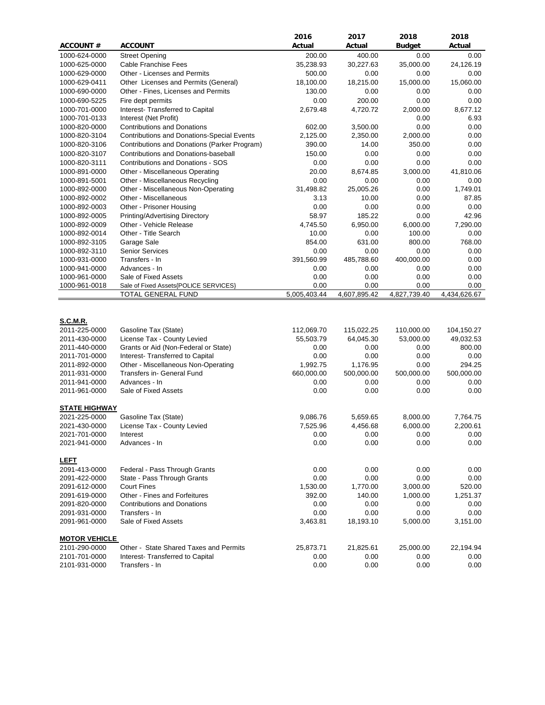|                                |                                                                     | 2016         | 2017         | 2018          | 2018                |
|--------------------------------|---------------------------------------------------------------------|--------------|--------------|---------------|---------------------|
| <b>ACCOUNT#</b>                | <b>ACCOUNT</b>                                                      | Actual       | Actual       | <b>Budget</b> | Actual              |
| 1000-624-0000                  | <b>Street Opening</b>                                               | 200.00       | 400.00       | 0.00          | 0.00                |
| 1000-625-0000                  | Cable Franchise Fees                                                | 35,238.93    | 30,227.63    | 35,000.00     | 24,126.19           |
| 1000-629-0000                  | Other - Licenses and Permits                                        | 500.00       | 0.00         | 0.00          | 0.00                |
| 1000-629-0411                  | Other Licenses and Permits (General)                                | 18,100.00    | 18,215.00    | 15,000.00     | 15,060.00           |
| 1000-690-0000                  | Other - Fines, Licenses and Permits                                 | 130.00       | 0.00         | 0.00          | 0.00                |
| 1000-690-5225                  | Fire dept permits                                                   | 0.00         | 200.00       | 0.00          | 0.00                |
| 1000-701-0000                  | Interest- Transferred to Capital                                    | 2,679.48     | 4,720.72     | 2,000.00      | 8,677.12            |
| 1000-701-0133                  | Interest (Net Profit)                                               |              |              | 0.00          | 6.93                |
| 1000-820-0000                  | <b>Contributions and Donations</b>                                  | 602.00       | 3,500.00     | 0.00          | 0.00                |
| 1000-820-3104                  | <b>Contributions and Donations-Special Events</b>                   | 2,125.00     | 2,350.00     | 2,000.00      | 0.00                |
| 1000-820-3106                  | Contributions and Donations (Parker Program)                        | 390.00       | 14.00        | 350.00        | 0.00                |
| 1000-820-3107                  | Contributions and Donations-baseball                                | 150.00       | 0.00         | 0.00          | 0.00                |
| 1000-820-3111                  | Contributions and Donations - SOS                                   | 0.00         | 0.00         | 0.00          | 0.00                |
| 1000-891-0000                  | Other - Miscellaneous Operating                                     | 20.00        | 8,674.85     | 3,000.00      | 41,810.06           |
| 1000-891-5001                  | Other - Miscellaneous Recycling                                     | 0.00         | 0.00         | 0.00          | 0.00                |
| 1000-892-0000                  | Other - Miscellaneous Non-Operating                                 | 31,498.82    | 25,005.26    | 0.00          | 1,749.01            |
| 1000-892-0002                  | Other - Miscellaneous                                               | 3.13         | 10.00        | 0.00          | 87.85               |
| 1000-892-0003                  | Other - Prisoner Housing                                            | 0.00         | 0.00         | 0.00          | 0.00                |
| 1000-892-0005                  | Printing/Advertising Directory                                      | 58.97        | 185.22       | 0.00          | 42.96               |
| 1000-892-0009                  | Other - Vehicle Release                                             | 4,745.50     | 6,950.00     | 6,000.00      | 7,290.00            |
| 1000-892-0014                  | Other - Title Search                                                | 10.00        | 0.00         | 100.00        | 0.00                |
| 1000-892-3105                  | Garage Sale                                                         | 854.00       | 631.00       | 800.00        | 768.00              |
| 1000-892-3110                  | <b>Senior Services</b>                                              | 0.00         | 0.00         | 0.00          | 0.00                |
| 1000-931-0000                  | Transfers - In                                                      | 391,560.99   | 485,788.60   | 400,000.00    | 0.00                |
| 1000-941-0000                  | Advances - In                                                       | 0.00         | 0.00         | 0.00          | 0.00                |
| 1000-961-0000                  | Sale of Fixed Assets                                                | 0.00         | 0.00         | 0.00          | 0.00                |
| 1000-961-0018                  | Sale of Fixed Assets{POLICE SERVICES}                               | 0.00         | 0.00         | 0.00          | 0.00                |
|                                | TOTAL GENERAL FUND                                                  | 5,005,403.44 | 4,607,895.42 | 4,827,739.40  | 4,434,626.67        |
| <b>S.C.M.R.</b>                |                                                                     |              |              |               |                     |
| 2011-225-0000                  | Gasoline Tax (State)                                                | 112,069.70   | 115,022.25   | 110,000.00    | 104,150.27          |
| 2011-430-0000                  | License Tax - County Levied<br>Grants or Aid (Non-Federal or State) | 55,503.79    | 64,045.30    | 53,000.00     | 49,032.53<br>800.00 |
| 2011-440-0000<br>2011-701-0000 | Interest- Transferred to Capital                                    | 0.00<br>0.00 | 0.00<br>0.00 | 0.00<br>0.00  | 0.00                |
| 2011-892-0000                  | Other - Miscellaneous Non-Operating                                 | 1,992.75     | 1,176.95     | 0.00          | 294.25              |
| 2011-931-0000                  | Transfers in- General Fund                                          | 660,000.00   | 500,000.00   | 500,000.00    | 500,000.00          |
| 2011-941-0000                  | Advances - In                                                       | 0.00         | 0.00         | 0.00          | 0.00                |
| 2011-961-0000                  | Sale of Fixed Assets                                                | 0.00         | 0.00         | 0.00          | 0.00                |
|                                |                                                                     |              |              |               |                     |
| <b>STATE HIGHWAY</b>           |                                                                     |              |              |               |                     |
| 2021-225-0000                  | Gasoline Tax (State)                                                | 9,086.76     | 5,659.65     | 8,000.00      | 7,764.75            |
| 2021-430-0000                  | License Tax - County Levied                                         | 7,525.96     | 4,456.68     | 6,000.00      | 2,200.61            |
| 2021-701-0000                  | Interest                                                            | 0.00         | 0.00         | 0.00          | 0.00                |
| 2021-941-0000                  | Advances - In                                                       | 0.00         | 0.00         | 0.00          | 0.00                |
| <b>LEFT</b>                    |                                                                     |              |              |               |                     |
| 2091-413-0000                  | Federal - Pass Through Grants                                       | 0.00         | 0.00         | 0.00          | 0.00                |
| 2091-422-0000                  | State - Pass Through Grants                                         | 0.00         | 0.00         | 0.00          | 0.00                |
| 2091-612-0000                  | <b>Court Fines</b>                                                  | 1,530.00     | 1,770.00     | 3,000.00      | 520.00              |
| 2091-619-0000                  | Other - Fines and Forfeitures                                       | 392.00       | 140.00       | 1,000.00      | 1,251.37            |
| 2091-820-0000                  | <b>Contributions and Donations</b>                                  | 0.00         | 0.00         | 0.00          | 0.00                |
| 2091-931-0000                  | Transfers - In                                                      | 0.00         | 0.00         | 0.00          | 0.00                |
| 2091-961-0000                  | Sale of Fixed Assets                                                | 3,463.81     | 18,193.10    | 5,000.00      | 3,151.00            |
|                                |                                                                     |              |              |               |                     |
| <b>MOTOR VEHICLE</b>           |                                                                     |              |              |               |                     |
| 2101-290-0000                  | Other - State Shared Taxes and Permits                              | 25,873.71    | 21,825.61    | 25,000.00     | 22,194.94           |
| 2101-701-0000                  | Interest-Transferred to Capital                                     | 0.00         | 0.00         | 0.00          | 0.00                |
| 2101-931-0000                  | Transfers - In                                                      | 0.00         | 0.00         | 0.00          | 0.00                |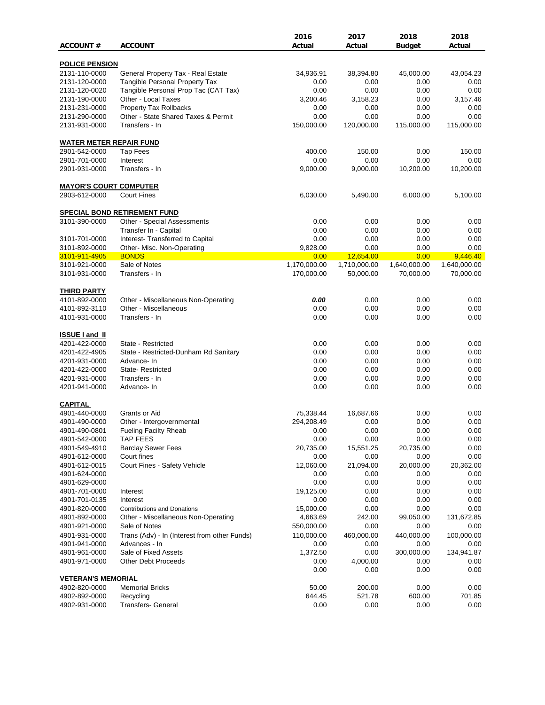| <b>ACCOUNT#</b>                                | <b>ACCOUNT</b>                               | 2016<br>Actual | 2017         | 2018          | 2018         |
|------------------------------------------------|----------------------------------------------|----------------|--------------|---------------|--------------|
|                                                |                                              |                | Actual       | <b>Budget</b> | Actual       |
| <b>POLICE PENSION</b>                          |                                              |                |              |               |              |
| 2131-110-0000                                  | General Property Tax - Real Estate           | 34,936.91      | 38,394.80    | 45,000.00     | 43,054.23    |
| 2131-120-0000                                  | Tangible Personal Property Tax               | 0.00           | 0.00         | 0.00          | 0.00         |
| 2131-120-0020                                  | Tangible Personal Prop Tac (CAT Tax)         | 0.00           | 0.00         | 0.00          | 0.00         |
| 2131-190-0000                                  | Other - Local Taxes                          | 3,200.46       | 3,158.23     | 0.00          | 3,157.46     |
| 2131-231-0000                                  | Property Tax Rollbacks                       | 0.00           | 0.00         | 0.00          | 0.00         |
| 2131-290-0000                                  | Other - State Shared Taxes & Permit          | 0.00           | 0.00         | 0.00          | 0.00         |
| 2131-931-0000                                  | Transfers - In                               | 150,000.00     | 120,000.00   | 115,000.00    | 115,000.00   |
| <b>WATER METER REPAIR FUND</b>                 |                                              |                |              |               |              |
| 2901-542-0000                                  | Tap Fees                                     | 400.00         | 150.00       | 0.00          | 150.00       |
| 2901-701-0000                                  | Interest                                     | 0.00           | 0.00         | 0.00          | 0.00         |
| 2901-931-0000                                  | Transfers - In                               | 9,000.00       | 9,000.00     | 10,200.00     | 10,200.00    |
|                                                |                                              |                |              |               |              |
| <b>MAYOR'S COURT COMPUTER</b><br>2903-612-0000 | <b>Court Fines</b>                           | 6,030.00       | 5,490.00     | 6,000.00      | 5,100.00     |
|                                                |                                              |                |              |               |              |
|                                                | <b>SPECIAL BOND RETIREMENT FUND</b>          |                |              |               |              |
| 3101-390-0000                                  | Other - Special Assessments                  | 0.00           | 0.00         | 0.00          | 0.00         |
|                                                | Transfer In - Capital                        | 0.00           | 0.00         | 0.00          | 0.00         |
| 3101-701-0000                                  | Interest- Transferred to Capital             | 0.00           | 0.00         | 0.00          | 0.00         |
| 3101-892-0000                                  | Other- Misc. Non-Operating                   | 9,828.00       | 0.00         | 0.00          | 0.00         |
| 3101-911-4905                                  | <b>BONDS</b>                                 | 0.00           | 12,654.00    | 0.00          | 9,446.40     |
| 3101-921-0000                                  | Sale of Notes                                | 1,170,000.00   | 1,710,000.00 | 1,640,000.00  | 1,640,000.00 |
| 3101-931-0000                                  | Transfers - In                               | 170,000.00     | 50,000.00    | 70,000.00     | 70,000.00    |
| <b>THIRD PARTY</b>                             |                                              |                |              |               |              |
| 4101-892-0000                                  | Other - Miscellaneous Non-Operating          | 0.00           | 0.00         | 0.00          | 0.00         |
| 4101-892-3110                                  | Other - Miscellaneous                        | 0.00           | 0.00         | 0.00          | 0.00         |
| 4101-931-0000                                  | Transfers - In                               | 0.00           | 0.00         | 0.00          | 0.00         |
| <b>ISSUE I and II</b>                          |                                              |                |              |               |              |
| 4201-422-0000                                  | State - Restricted                           | 0.00           | 0.00         | 0.00          | 0.00         |
| 4201-422-4905                                  | State - Restricted-Dunham Rd Sanitary        | 0.00           | 0.00         | 0.00          | 0.00         |
| 4201-931-0000                                  | Advance-In                                   | 0.00           | 0.00         | 0.00          | 0.00         |
| 4201-422-0000                                  | <b>State-Restricted</b>                      | 0.00           | 0.00         | 0.00          |              |
| 4201-931-0000                                  | Transfers - In                               | 0.00           | 0.00         | 0.00          | 0.00<br>0.00 |
|                                                |                                              |                |              |               |              |
| 4201-941-0000                                  | Advance-In                                   | 0.00           | 0.00         | 0.00          | 0.00         |
| <b>CAPITAL</b>                                 |                                              |                |              |               |              |
| 4901-440-0000                                  | Grants or Aid                                | 75,338.44      | 16,687.66    | 0.00          | 0.00         |
| 4901-490-0000                                  | Other - Intergovernmental                    | 294,208.49     | 0.00         | 0.00          | 0.00         |
| 4901-490-0801                                  | <b>Fueling Facilty Rheab</b>                 | 0.00           | 0.00         | 0.00          | 0.00         |
| 4901-542-0000                                  | <b>TAP FEES</b>                              | 0.00           | 0.00         | 0.00          | 0.00         |
| 4901-549-4910                                  | <b>Barclay Sewer Fees</b>                    | 20,735.00      | 15,551.25    | 20,735.00     | 0.00         |
| 4901-612-0000                                  | Court fines                                  | 0.00           | 0.00         | 0.00          | 0.00         |
| 4901-612-0015                                  | Court Fines - Safety Vehicle                 | 12,060.00      | 21,094.00    | 20,000.00     | 20,362.00    |
| 4901-624-0000                                  |                                              | 0.00           | 0.00         | 0.00          | 0.00         |
| 4901-629-0000                                  |                                              | 0.00           | 0.00         | 0.00          | 0.00         |
| 4901-701-0000                                  | Interest                                     | 19,125.00      | 0.00         | 0.00          | 0.00         |
| 4901-701-0135                                  | Interest                                     | 0.00           | 0.00         | 0.00          | 0.00         |
| 4901-820-0000                                  | <b>Contributions and Donations</b>           | 15,000.00      | 0.00         | 0.00          | 0.00         |
| 4901-892-0000                                  | Other - Miscellaneous Non-Operating          | 4,663.69       | 242.00       | 99,050.00     | 131,672.85   |
| 4901-921-0000                                  | Sale of Notes                                | 550,000.00     | 0.00         | 0.00          | 0.00         |
| 4901-931-0000                                  | Trans (Adv) - In (Interest from other Funds) | 110,000.00     | 460,000.00   | 440,000.00    | 100,000.00   |
| 4901-941-0000                                  | Advances - In                                | 0.00           | 0.00         | 0.00          | 0.00         |
| 4901-961-0000                                  | Sale of Fixed Assets                         | 1,372.50       | 0.00         | 300,000.00    | 134,941.87   |
| 4901-971-0000                                  | Other Debt Proceeds                          | 0.00           | 4,000.00     | 0.00          | 0.00         |
|                                                |                                              | 0.00           | 0.00         | 0.00          | 0.00         |
| <b>VETERAN'S MEMORIAL</b>                      |                                              |                |              |               |              |
| 4902-820-0000                                  | <b>Memorial Bricks</b>                       | 50.00          | 200.00       | 0.00          | 0.00         |
| 4902-892-0000                                  | Recycling                                    | 644.45         | 521.78       | 600.00        | 701.85       |
| 4902-931-0000                                  | Transfers- General                           | 0.00           | 0.00         | 0.00          | 0.00         |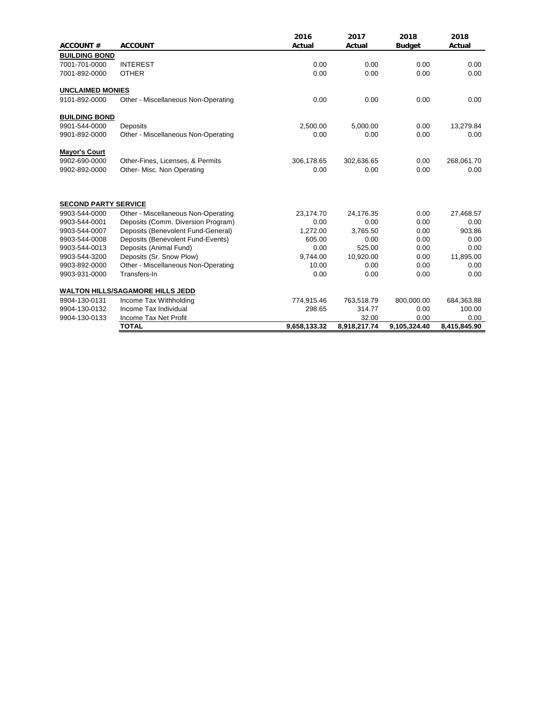| <b>ACCOUNT#</b>             | <b>ACCOUNT</b>                          | 2016<br>Actual | 2017<br>Actual | 2018<br><b>Budget</b> | 2018<br>Actual |
|-----------------------------|-----------------------------------------|----------------|----------------|-----------------------|----------------|
| <b>BUILDING BOND</b>        |                                         |                |                |                       |                |
| 7001-701-0000               | <b>INTEREST</b>                         | 0.00           | 0.00           | 0.00                  | 0.00           |
| 7001-892-0000               | <b>OTHER</b>                            | 0.00           | 0.00           | 0.00                  | 0.00           |
| <b>UNCLAIMED MONIES</b>     |                                         |                |                |                       |                |
| 9101-892-0000               | Other - Miscellaneous Non-Operating     | 0.00           | 0.00           | 0.00                  | 0.00           |
| <b>BUILDING BOND</b>        |                                         |                |                |                       |                |
| 9901-544-0000               | Deposits                                | 2,500.00       | 5,000.00       | 0.00                  | 13,279.84      |
| 9901-892-0000               | Other - Miscellaneous Non-Operating     | 0.00           | 0.00           | 0.00                  | 0.00           |
| <b>Mayor's Court</b>        |                                         |                |                |                       |                |
| 9902-690-0000               | Other-Fines, Licenses, & Permits        | 306,178.65     | 302,636.65     | 0.00                  | 268,061.70     |
| 9902-892-0000               | Other- Misc. Non Operating              | 0.00           | 0.00           | 0.00                  | 0.00           |
| <b>SECOND PARTY SERVICE</b> |                                         |                |                |                       |                |
| 9903-544-0000               | Other - Miscellaneous Non-Operating     | 23,174.70      | 24,176.35      | 0.00                  | 27,468.57      |
| 9903-544-0001               | Deposits (Comm. Diversion Program)      | 0.00           | 0.00           | 0.00                  | 0.00           |
| 9903-544-0007               | Deposits (Benevolent Fund-General)      | 1,272.00       | 3,765.50       | 0.00                  | 903.86         |
| 9903-544-0008               | Deposits (Benevolent Fund-Events)       | 605.00         | 0.00           | 0.00                  | 0.00           |
| 9903-544-0013               | Deposits (Animal Fund)                  | 0.00           | 525.00         | 0.00                  | 0.00           |
| 9903-544-3200               | Deposits (Sr. Snow Plow)                | 9,744.00       | 10,920.00      | 0.00                  | 11,895.00      |
| 9903-892-0000               | Other - Miscellaneous Non-Operating     | 10.00          | 0.00           | 0.00                  | 0.00           |
| 9903-931-0000               | Transfers-In                            | 0.00           | 0.00           | 0.00                  | 0.00           |
|                             | <b>WALTON HILLS/SAGAMORE HILLS JEDD</b> |                |                |                       |                |
| 9904-130-0131               | Income Tax Withholding                  | 774,915.46     | 763,518.79     | 800,000.00            | 684,363.88     |
| 9904-130-0132               | Income Tax Individual                   | 298.65         | 314.77         | 0.00                  | 100.00         |
| 9904-130-0133               | Income Tax Net Profit                   |                | 32.00          | 0.00                  | 0.00           |
|                             | <b>TOTAL</b>                            | 9,658,133.32   | 8,918,217.74   | 9,105,324.40          | 8,415,845.90   |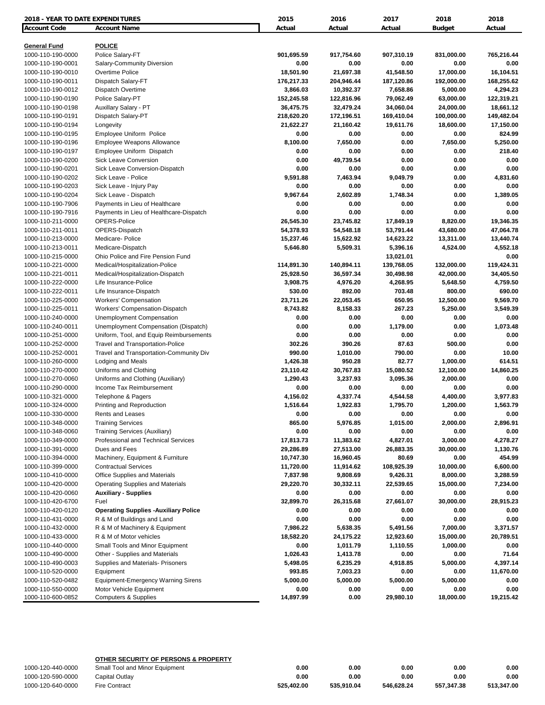| 2018 - YEAR TO DATE EXPENDITURES         |                                                                             | 2015             | 2016           | 2017            | 2018           | 2018         |
|------------------------------------------|-----------------------------------------------------------------------------|------------------|----------------|-----------------|----------------|--------------|
| Account Code                             | <b>Account Name</b>                                                         | Actual           | Actual         | Actual          | <b>Budget</b>  | Actual       |
|                                          | <b>POLICE</b>                                                               |                  |                |                 |                |              |
| <b>General Fund</b><br>1000-110-190-0000 | Police Salary-FT                                                            | 901,695.59       | 917,754.60     | 907,310.19      | 831,000.00     | 765,216.44   |
| 1000-110-190-0001                        | Salary-Community Diversion                                                  | 0.00             | 0.00           | 0.00            | 0.00           | 0.00         |
| 1000-110-190-0010                        | Overtime Police                                                             | 18,501.90        | 21,697.38      | 41,548.50       | 17,000.00      | 16,104.51    |
| 1000-110-190-0011                        | Dispatch Salary-FT                                                          | 176,217.33       | 204,946.44     | 187,120.86      | 192,000.00     | 168,255.62   |
| 1000-110-190-0012                        | Dispatch Overtime                                                           | 3,866.03         | 10,392.37      | 7,658.86        | 5,000.00       | 4,294.23     |
| 1000-110-190-0190                        | Police Salary-PT                                                            | 152,245.58       | 122,816.96     | 79,062.49       | 63,000.00      | 122,319.21   |
| 1000-110-190-0198                        | Auxillary Salary - PT                                                       | 36,475.75        | 32,479.24      | 34,060.04       | 24,000.00      | 18,661.12    |
| 1000-110-190-0191                        | Dispatch Salary-PT                                                          | 218,620.20       | 172,196.51     | 169,410.04      | 100,000.00     | 149,482.04   |
| 1000-110-190-0194                        | Longevity                                                                   | 21,622.27        | 21,160.42      | 19,611.76       | 18,600.00      | 17,150.00    |
| 1000-110-190-0195                        | Employee Uniform Police                                                     | 0.00             | 0.00           | 0.00            | 0.00           | 824.99       |
| 1000-110-190-0196                        | Employee Weapons Allowance                                                  | 8,100.00         | 7,650.00       | 0.00            | 7,650.00       | 5,250.00     |
| 1000-110-190-0197                        | Employee Uniform Dispatch                                                   | 0.00             | 0.00           | 0.00            | 0.00           | 218.40       |
| 1000-110-190-0200                        | <b>Sick Leave Conversion</b>                                                | 0.00             | 49,739.54      | 0.00            | 0.00           | 0.00         |
| 1000-110-190-0201                        | Sick Leave Conversion-Dispatch                                              | 0.00             | 0.00           | 0.00            | 0.00           | 0.00         |
| 1000-110-190-0202                        | Sick Leave - Police                                                         | 9,591.88         | 7,463.94       | 9,049.79        | 0.00           | 4,831.60     |
| 1000-110-190-0203                        | Sick Leave - Injury Pay                                                     | 0.00             | 0.00           | 0.00            | 0.00           | 0.00         |
| 1000-110-190-0204                        | Sick Leave - Dispatch                                                       | 9,967.64         | 2,602.89       | 1,748.34        | 0.00           | 1,389.05     |
| 1000-110-190-7906                        | Payments in Lieu of Healthcare                                              | 0.00             | 0.00           | 0.00            | 0.00           | 0.00         |
| 1000-110-190-7916                        | Payments in Lieu of Healthcare-Dispatch                                     | 0.00             | 0.00           | 0.00            | 0.00           | 0.00         |
| 1000-110-211-0000                        | OPERS-Police                                                                | 26,545.30        | 23,745.82      | 17,849.19       | 8,820.00       | 19,346.35    |
| 1000-110-211-0011                        | OPERS-Dispatch                                                              | 54,378.93        | 54,548.18      | 53,791.44       | 43,680.00      | 47,064.78    |
| 1000-110-213-0000                        | Medicare-Police                                                             | 15,237.46        | 15,622.92      | 14,623.22       | 13,311.00      | 13,440.74    |
| 1000-110-213-0011                        | Medicare-Dispatch                                                           | 5,646.80         | 5,509.31       | 5,396.16        | 4,524.00       | 4,552.18     |
| 1000-110-215-0000                        | Ohio Police and Fire Pension Fund                                           |                  |                | 13,021.01       |                | 0.00         |
| 1000-110-221-0000                        | Medical/Hospitalization-Police                                              | 114,891.30       | 140,894.11     | 139,768.05      | 132,000.00     | 119,424.31   |
| 1000-110-221-0011                        | Medical/Hospitalization-Dispatch                                            | 25,928.50        | 36,597.34      | 30,498.98       | 42,000.00      | 34,405.50    |
| 1000-110-222-0000                        | Life Insurance-Police                                                       | 3,908.75         | 4,976.20       | 4,268.95        | 5,648.50       | 4,759.50     |
| 1000-110-222-0011                        | Life Insurance-Dispatch                                                     | 530.00           | 892.00         | 703.48          | 800.00         | 690.00       |
| 1000-110-225-0000                        | <b>Workers' Compensation</b>                                                | 23,711.26        | 22,053.45      | 650.95          | 12,500.00      | 9,569.70     |
| 1000-110-225-0011                        | Workers' Compensation-Dispatch                                              | 8,743.82         | 8,158.33       | 267.23          | 5,250.00       | 3,549.39     |
| 1000-110-240-0000                        | <b>Unemployment Compensation</b>                                            | 0.00             | 0.00           | 0.00            | 0.00           | 0.00         |
| 1000-110-240-0011                        | Unemployment Compensation (Dispatch)                                        | 0.00             | 0.00           | 1,179.00        | 0.00           | 1,073.48     |
| 1000-110-251-0000                        | Uniform, Tool, and Equip Reimbursements                                     | 0.00             | 0.00<br>390.26 | 0.00            | 0.00<br>500.00 | 0.00<br>0.00 |
| 1000-110-252-0000<br>1000-110-252-0001   | Travel and Transportation-Police<br>Travel and Transportation-Community Div | 302.26<br>990.00 | 1,010.00       | 87.63<br>790.00 | 0.00           | 10.00        |
| 1000-110-260-0000                        | Lodging and Meals                                                           | 1,426.38         | 950.28         | 82.77           | 1,000.00       | 614.51       |
| 1000-110-270-0000                        | Uniforms and Clothing                                                       | 23,110.42        | 30,767.83      | 15,080.52       | 12,100.00      | 14,860.25    |
| 1000-110-270-0060                        | Uniforms and Clothing (Auxiliary)                                           | 1,290.43         | 3,237.93       | 3,095.36        | 2,000.00       | 0.00         |
| 1000-110-290-0000                        | Income Tax Reimbursement                                                    | 0.00             | 0.00           | 0.00            | 0.00           | 0.00         |
| 1000-110-321-0000                        | Telephone & Pagers                                                          | 4,156.02         | 4,337.74       | 4,544.58        | 4,400.00       | 3,977.83     |
| 1000-110-324-0000                        | Printing and Reproduction                                                   | 1,516.64         | 1,922.83       | 1,795.70        | 1,200.00       | 1,563.79     |
| 1000-110-330-0000                        | Rents and Leases                                                            | 0.00             | 0.00           | 0.00            | 0.00           | 0.00         |
| 1000-110-348-0000                        | <b>Training Services</b>                                                    | 865.00           | 5,976.85       | 1,015.00        | 2,000.00       | 2,896.91     |
| 1000-110-348-0060                        | Training Services (Auxiliary)                                               | 0.00             | 0.00           | 0.00            | 0.00           | 0.00         |
| 1000-110-349-0000                        | Professional and Technical Services                                         | 17,813.73        | 11,383.62      | 4,827.01        | 3,000.00       | 4,278.27     |
| 1000-110-391-0000                        | Dues and Fees                                                               | 29,286.89        | 27,513.00      | 26,883.35       | 30,000.00      | 1,130.76     |
| 1000-110-394-0000                        | Machinery, Equipment & Furniture                                            | 10,747.30        | 16,960.45      | 80.69           | 0.00           | 454.99       |
| 1000-110-399-0000                        | <b>Contractual Services</b>                                                 | 11,720.00        | 11,914.62      | 108,925.39      | 10,000.00      | 6,600.00     |
| 1000-110-410-0000                        | Office Supplies and Materials                                               | 7,837.98         | 9,808.69       | 9,426.31        | 8,000.00       | 3,288.59     |
| 1000-110-420-0000                        | <b>Operating Supplies and Materials</b>                                     | 29,220.70        | 30,332.11      | 22,539.65       | 15,000.00      | 7,234.00     |
| 1000-110-420-0060                        | <b>Auxiliary - Supplies</b>                                                 | 0.00             | 0.00           | 0.00            | 0.00           | 0.00         |
| 1000-110-420-6700                        | Fuel                                                                        | 32,899.70        | 26,315.68      | 27,661.07       | 30,000.00      | 28,915.23    |
| 1000-110-420-0120                        | <b>Operating Supplies - Auxiliary Police</b>                                | 0.00             | 0.00           | 0.00            | 0.00           | 0.00         |
| 1000-110-431-0000                        | R & M of Buildings and Land                                                 | 0.00             | 0.00           | 0.00            | 0.00           | 0.00         |
| 1000-110-432-0000                        | R & M of Machinery & Equipment                                              | 7,986.22         | 5,638.35       | 5,491.56        | 7,000.00       | 3,371.57     |
| 1000-110-433-0000                        | R & M of Motor vehicles                                                     | 18,582.20        | 24,175.22      | 12,923.60       | 15,000.00      | 20,789.51    |
| 1000-110-440-0000                        | Small Tools and Minor Equipment                                             | 0.00             | 1,011.79       | 1,110.55        | 1,000.00       | 0.00         |
| 1000-110-490-0000                        | Other - Supplies and Materials                                              | 1,026.43         | 1,413.78       | 0.00            | 0.00           | 71.64        |
| 1000-110-490-0003                        | Supplies and Materials- Prisoners                                           | 5,498.05         | 6,235.29       | 4,918.85        | 5,000.00       | 4,397.14     |
| 1000-110-520-0000                        | Equipment                                                                   | 993.85           | 7,003.23       | 0.00            | 0.00           | 11,670.00    |
| 1000-110-520-0482                        | <b>Equipment-Emergency Warning Sirens</b>                                   | 5,000.00         | 5,000.00       | 5,000.00        | 5,000.00       | 0.00         |
| 1000-110-550-0000                        | Motor Vehicle Equipment                                                     | 0.00             | 0.00           | 0.00            | 0.00           | 0.00         |
| 1000-110-600-0852                        | <b>Computers &amp; Supplies</b>                                             | 14,897.99        | 0.00           | 29,980.10       | 18,000.00      | 19,215.42    |

|                   | OTHER SECURITY OF PERSONS & PROPERTY |            |            |            |            |            |
|-------------------|--------------------------------------|------------|------------|------------|------------|------------|
| 1000-120-440-0000 | Small Tool and Minor Equipment       | 0.00       | 0.00       | 0.00       | 0.00       | 0.00       |
| 1000-120-590-0000 | Capital Outlav                       | 0.00       | 0.00       | 0.00       | 0.00       | 0.00       |
| 1000-120-640-0000 | <b>Fire Contract</b>                 | 525.402.00 | 535.910.04 | 546.628.24 | 557.347.38 | 513.347.00 |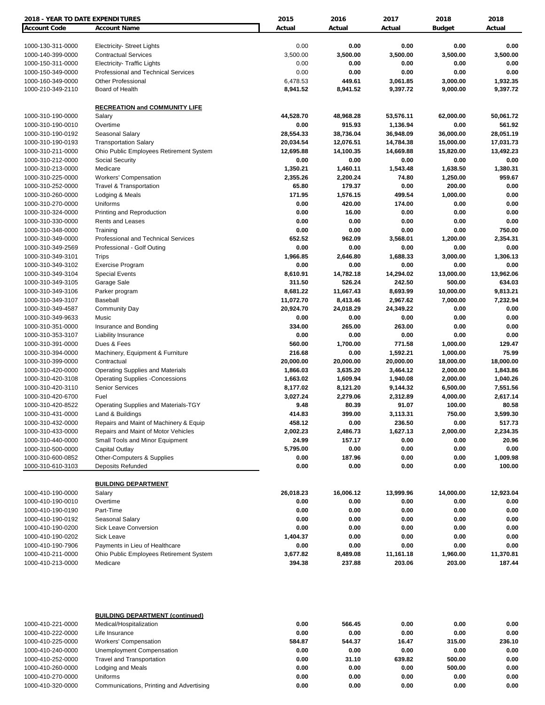| 2018 - YEAR TO DATE EXPENDITURES       |                                           | 2015             | 2016             | 2017              | 2018              | 2018             |
|----------------------------------------|-------------------------------------------|------------------|------------------|-------------------|-------------------|------------------|
| <b>Account Code</b>                    | <b>Account Name</b>                       | Actual           | Actual           | Actual            | <b>Budget</b>     | Actual           |
|                                        |                                           |                  |                  |                   |                   |                  |
| 1000-130-311-0000                      | <b>Electricity- Street Lights</b>         | 0.00             | 0.00             | 0.00              | 0.00              | 0.00             |
| 1000-140-399-0000                      | <b>Contractual Services</b>               | 3,500.00         | 3,500.00         | 3,500.00          | 3,500.00          | 3,500.00         |
| 1000-150-311-0000                      | <b>Electricity- Traffic Lights</b>        | 0.00             | 0.00             | 0.00              | 0.00              | 0.00             |
| 1000-150-349-0000                      | Professional and Technical Services       | 0.00             | 0.00             | 0.00              | 0.00              | 0.00             |
| 1000-160-349-0000                      | <b>Other Professional</b>                 | 6,478.53         | 449.61           | 3,061.85          | 3,000.00          | 1,932.35         |
| 1000-210-349-2110                      | Board of Health                           | 8,941.52         | 8,941.52         | 9,397.72          | 9,000.00          | 9,397.72         |
|                                        |                                           |                  |                  |                   |                   |                  |
|                                        | <b>RECREATION and COMMUNITY LIFE</b>      |                  |                  |                   |                   |                  |
| 1000-310-190-0000                      | Salary                                    | 44,528.70        | 48,968.28        | 53,576.11         | 62,000.00         | 50,061.72        |
| 1000-310-190-0010                      | Overtime                                  | 0.00             | 915.93           | 1,136.94          | 0.00              | 561.92           |
| 1000-310-190-0192                      | Seasonal Salary                           | 28,554.33        | 38,736.04        | 36,948.09         | 36,000.00         | 28,051.19        |
| 1000-310-190-0193                      | <b>Transportation Salary</b>              | 20,034.54        | 12,076.51        | 14,784.38         | 15,000.00         | 17,031.73        |
| 1000-310-211-0000                      | Ohio Public Employees Retirement System   | 12,695.88        | 14,100.35        | 14,669.88         | 15,820.00         | 13,492.23        |
| 1000-310-212-0000                      | <b>Social Security</b>                    | 0.00             | 0.00             | 0.00              | 0.00              | 0.00             |
| 1000-310-213-0000                      | Medicare                                  | 1,350.21         | 1,460.11         | 1,543.48          | 1,638.50          | 1,380.31         |
| 1000-310-225-0000                      | <b>Workers' Compensation</b>              | 2,355.26         | 2,200.24         | 74.80             | 1,250.00          | 959.67           |
| 1000-310-252-0000                      | Travel & Transportation                   | 65.80            | 179.37           | 0.00              | 200.00            | 0.00             |
| 1000-310-260-0000                      | Lodging & Meals                           | 171.95           | 1,576.15         | 499.54            | 1,000.00          | 0.00             |
| 1000-310-270-0000                      | Uniforms                                  | 0.00             | 420.00           | 174.00            | 0.00              | 0.00             |
| 1000-310-324-0000                      | Printing and Reproduction                 | 0.00             | 16.00            | 0.00              | 0.00              | 0.00             |
| 1000-310-330-0000                      | Rents and Leases                          | 0.00             | 0.00             | 0.00              | 0.00              | 0.00             |
| 1000-310-348-0000                      | Training                                  | 0.00             | 0.00             | 0.00              | 0.00              | 750.00           |
| 1000-310-349-0000                      | Professional and Technical Services       | 652.52           | 962.09           | 3,568.01          | 1,200.00          | 2,354.31         |
| 1000-310-349-2569                      | Professional - Golf Outing                | 0.00             | 0.00             | 0.00              | 0.00              | 0.00             |
| 1000-310-349-3101                      | <b>Trips</b>                              | 1,966.85         | 2,646.80<br>0.00 | 1,688.33          | 3,000.00          | 1,306.13<br>0.00 |
| 1000-310-349-3102<br>1000-310-349-3104 | Exercise Program<br><b>Special Events</b> | 0.00<br>8,610.91 | 14,782.18        | 0.00<br>14,294.02 | 0.00<br>13,000.00 | 13,962.06        |
| 1000-310-349-3105                      | Garage Sale                               | 311.50           | 526.24           | 242.50            | 500.00            | 634.03           |
| 1000-310-349-3106                      | Parker program                            | 8,681.22         | 11,667.43        | 8,693.99          | 10,000.00         | 9,813.21         |
| 1000-310-349-3107                      | Baseball                                  | 11,072.70        | 8,413.46         | 2,967.62          | 7,000.00          | 7,232.94         |
| 1000-310-349-4587                      | <b>Community Day</b>                      | 20,924.70        | 24,018.29        | 24,349.22         | 0.00              | 0.00             |
| 1000-310-349-9633                      | Music                                     | 0.00             | 0.00             | 0.00              | 0.00              | 0.00             |
| 1000-310-351-0000                      | Insurance and Bonding                     | 334.00           | 265.00           | 263.00            | 0.00              | 0.00             |
| 1000-310-353-3107                      | Liability Insurance                       | 0.00             | 0.00             | 0.00              | 0.00              | 0.00             |
| 1000-310-391-0000                      | Dues & Fees                               | 560.00           | 1,700.00         | 771.58            | 1,000.00          | 129.47           |
| 1000-310-394-0000                      | Machinery, Equipment & Furniture          | 216.68           | 0.00             | 1,592.21          | 1,000.00          | 75.99            |
| 1000-310-399-0000                      | Contractual                               | 20,000.00        | 20,000.00        | 20,000.00         | 18,000.00         | 18,000.00        |
| 1000-310-420-0000                      | <b>Operating Supplies and Materials</b>   | 1,866.03         | 3,635.20         | 3,464.12          | 2,000.00          | 1,843.86         |
| 1000-310-420-3108                      | <b>Operating Supplies -Concessions</b>    | 1,663.02         | 1,609.94         | 1,940.08          | 2,000.00          | 1,040.26         |
| 1000-310-420-3110                      | <b>Senior Services</b>                    | 8,177.02         | 8,121.20         | 9,144.32          | 6,500.00          | 7,551.56         |
| 1000-310-420-6700                      | Fuel                                      | 3,027.24         | 2,279.06         | 2,312.89          | 4,000.00          | 2,617.14         |
| 1000-310-420-8522                      | Operating Supplies and Materials-TGY      | 9.48             | 80.39            | 91.07             | 100.00            | 80.58            |
| 1000-310-431-0000                      | Land & Buildings                          | 414.83           | 399.00           | 3,113.31          | 750.00            | 3,599.30         |
| 1000-310-432-0000                      | Repairs and Maint of Machinery & Equip    | 458.12           | 0.00             | 236.50            | 0.00              | 517.73           |
| 1000-310-433-0000                      | Repairs and Maint of Motor Vehicles       | 2,002.23         | 2,486.73         | 1,627.13          | 2,000.00          | 2,234.35         |
| 1000-310-440-0000                      | Small Tools and Minor Equipment           | 24.99            | 157.17           | 0.00              | 0.00              | 20.96            |
| 1000-310-500-0000                      | Capital Outlay                            | 5,795.00         | 0.00             | 0.00              | 0.00              | 0.00             |
| 1000-310-600-0852                      | Other-Computers & Supplies                | 0.00             | 187.96           | 0.00              | 0.00              | 1,009.98         |
| 1000-310-610-3103                      | Deposits Refunded                         | 0.00             | 0.00             | 0.00              | 0.00              | 100.00           |
|                                        |                                           |                  |                  |                   |                   |                  |
|                                        | <b>BUILDING DEPARTMENT</b>                |                  |                  |                   |                   |                  |
| 1000-410-190-0000                      | Salary                                    | 26,018.23        | 16,006.12        | 13,999.96         | 14,000.00         | 12,923.04        |
| 1000-410-190-0010                      | Overtime                                  | 0.00             | 0.00             | 0.00              | 0.00              | 0.00             |
| 1000-410-190-0190                      | Part-Time                                 | 0.00             | 0.00             | 0.00              | 0.00              | 0.00             |
| 1000-410-190-0192                      | Seasonal Salary                           | 0.00             | 0.00             | 0.00              | 0.00              | 0.00             |
| 1000-410-190-0200                      | Sick Leave Conversion                     | 0.00             | 0.00             | 0.00              | 0.00              | 0.00             |
| 1000-410-190-0202                      | Sick Leave                                | 1,404.37         | 0.00             | 0.00              | 0.00              | 0.00             |
| 1000-410-190-7906                      | Payments in Lieu of Healthcare            | 0.00             | 0.00             | 0.00              | 0.00              | 0.00             |
| 1000-410-211-0000                      | Ohio Public Employees Retirement System   | 3,677.82         | 8,489.08         | 11,161.18         | 1,960.00          | 11,370.81        |
| 1000-410-213-0000                      | Medicare                                  | 394.38           | 237.88           | 203.06            | 203.00            | 187.44           |
|                                        |                                           |                  |                  |                   |                   |                  |
|                                        | <b>BUILDING DEPARTMENT (continued)</b>    |                  |                  |                   |                   |                  |
| 1000-410-221-0000                      | Medical/Hospitalization                   | 0.00             | 566.45           | 0.00              | 0.00              | 0.00             |
| 1000-410-222-0000                      | Life Insurance                            | 0.00             | 0.00             | 0.00              | 0.00              | 0.00             |
| 1000-410-225-0000                      | <b>Workers' Compensation</b>              | 584.87           | 544.37           | 16.47             | 315.00            | 236.10           |
| 1000-410-240-0000                      | <b>Unemployment Compensation</b>          | 0.00             | 0.00             | 0.00              | 0.00              | 0.00             |
| 1000-410-252-0000                      | <b>Travel and Transportation</b>          | 0.00             | 31.10            | 639.82            | 500.00            | 0.00             |
| 1000-410-260-0000<br>1000-410-270-0000 | Lodging and Meals<br>Uniforms             | 0.00<br>0.00     | 0.00<br>0.00     | 0.00<br>0.00      | 500.00<br>0.00    | 0.00<br>0.00     |
| 1000-410-320-0000                      | Communications, Printing and Advertising  | 0.00             | 0.00             | 0.00              | 0.00              | 0.00             |
|                                        |                                           |                  |                  |                   |                   |                  |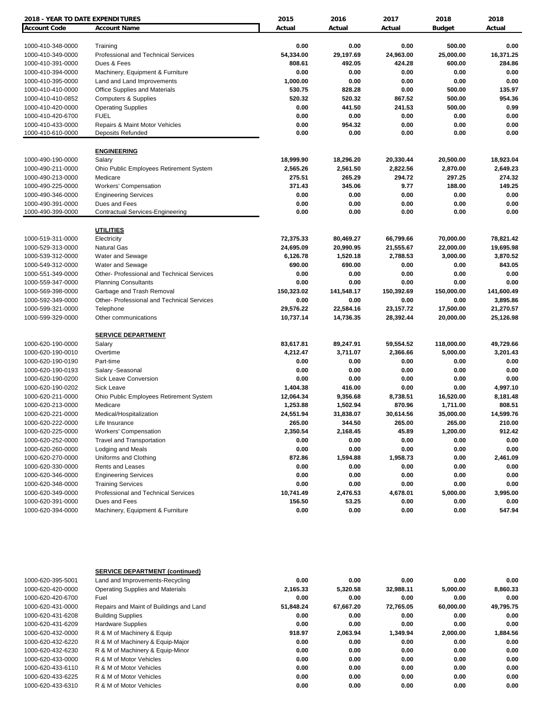| <b>2018 - YEAR TO DATE EXPENDITURES</b> |                                            | 2015       | 2016       | 2017         | 2018          | 2018       |
|-----------------------------------------|--------------------------------------------|------------|------------|--------------|---------------|------------|
| <b>Account Code</b>                     | <b>Account Name</b>                        | Actual     | Actual     | Actual       | <b>Budget</b> | Actual     |
|                                         |                                            |            |            |              |               |            |
| 1000-410-348-0000                       | Training                                   | 0.00       | 0.00       | 0.00         | 500.00        | 0.00       |
| 1000-410-349-0000                       | Professional and Technical Services        | 54,334.00  | 29,197.69  | 24,963.00    | 25,000.00     | 16,371.25  |
| 1000-410-391-0000                       | Dues & Fees                                | 808.61     | 492.05     | 424.28       | 600.00        | 284.86     |
| 1000-410-394-0000                       | Machinery, Equipment & Furniture           | 0.00       | 0.00       | 0.00         | 0.00          | 0.00       |
| 1000-410-395-0000                       | Land and Land Improvements                 | 1,000.00   | 0.00       | 0.00         | 0.00          | 0.00       |
| 1000-410-410-0000                       | Office Supplies and Materials              | 530.75     | 828.28     | 0.00         | 500.00        | 135.97     |
| 1000-410-410-0852                       | <b>Computers &amp; Supplies</b>            | 520.32     | 520.32     | 867.52       | 500.00        | 954.36     |
| 1000-410-420-0000                       | <b>Operating Supplies</b>                  | 0.00       | 441.50     | 241.53       | 500.00        | 0.99       |
| 1000-410-420-6700                       | <b>FUEL</b>                                | 0.00       | 0.00       | 0.00         | 0.00          | 0.00       |
| 1000-410-433-0000                       | Repairs & Maint Motor Vehicles             | 0.00       | 954.32     | 0.00         | 0.00          | 0.00       |
| 1000-410-610-0000                       | <b>Deposits Refunded</b>                   | 0.00       | 0.00       | 0.00         | 0.00          | 0.00       |
|                                         | <b>ENGINEERING</b>                         |            |            |              |               |            |
| 1000-490-190-0000                       | Salary                                     | 18,999.90  | 18,296.20  | 20,330.44    | 20,500.00     | 18,923.04  |
| 1000-490-211-0000                       | Ohio Public Employees Retirement System    | 2,565.26   | 2,561.50   | 2,822.56     | 2,870.00      | 2,649.23   |
| 1000-490-213-0000                       | Medicare                                   | 275.51     | 265.29     | 294.72       | 297.25        | 274.32     |
| 1000-490-225-0000                       | <b>Workers' Compensation</b>               | 371.43     | 345.06     | 9.77         | 188.00        | 149.25     |
| 1000-490-346-0000                       | <b>Engineering Services</b>                | 0.00       | 0.00       | 0.00         | 0.00          | 0.00       |
| 1000-490-391-0000                       | Dues and Fees                              | 0.00       | 0.00       | 0.00         | 0.00          | 0.00       |
| 1000-490-399-0000                       | <b>Contractual Services-Engineering</b>    | 0.00       | 0.00       | 0.00         | 0.00          | 0.00       |
|                                         |                                            |            |            |              |               |            |
|                                         | <b>UTILITIES</b>                           |            |            |              |               |            |
| 1000-519-311-0000                       | Electricity                                | 72,375.33  | 80,469.27  | 66,799.66    | 70,000.00     | 78,821.42  |
| 1000-529-313-0000                       | <b>Natural Gas</b>                         | 24,695.09  | 20,990.95  | 21,555.67    | 22,000.00     | 19,695.98  |
| 1000-539-312-0000                       | Water and Sewage                           | 6,126.78   | 1,520.18   | 2,788.53     | 3,000.00      | 3,870.52   |
| 1000-549-312-0000                       | Water and Sewage                           | 690.00     | 690.00     | 0.00         | 0.00          | 843.05     |
| 1000-551-349-0000                       | Other- Professional and Technical Services | 0.00       | 0.00       | 0.00         | 0.00          | 0.00       |
| 1000-559-347-0000                       | <b>Planning Consultants</b>                | 0.00       | 0.00       | 0.00         | 0.00          | 0.00       |
| 1000-569-398-0000                       | Garbage and Trash Removal                  | 150,323.02 | 141,548.17 | 150,392.69   | 150,000.00    | 141,600.49 |
| 1000-592-349-0000                       | Other- Professional and Technical Services | 0.00       | 0.00       | 0.00         | 0.00          | 3,895.86   |
| 1000-599-321-0000                       | Telephone                                  | 29,576.22  | 22,584.16  | 23,157.72    | 17,500.00     | 21,270.57  |
| 1000-599-329-0000                       | Other communications                       | 10,737.14  | 14,736.35  | 28,392.44    | 20,000.00     | 25,126.98  |
|                                         | <b>SERVICE DEPARTMENT</b>                  |            |            |              |               |            |
| 1000-620-190-0000                       | Salary                                     | 83,617.81  | 89,247.91  | 59,554.52    | 118,000.00    | 49,729.66  |
| 1000-620-190-0010                       | Overtime                                   | 4,212.47   | 3,711.07   | 2,366.66     | 5,000.00      | 3,201.43   |
| 1000-620-190-0190                       | Part-time                                  | 0.00       | 0.00       | 0.00         | 0.00          | 0.00       |
| 1000-620-190-0193                       | Salary - Seasonal                          | 0.00       | 0.00       | 0.00         | 0.00          | 0.00       |
| 1000-620-190-0200                       | <b>Sick Leave Conversion</b>               | 0.00       | 0.00       | 0.00         | 0.00          | 0.00       |
| 1000-620-190-0202                       | Sick Leave                                 | 1,404.38   | 416.00     | 0.00         | 0.00          | 4,997.10   |
| 1000-620-211-0000                       | Ohio Public Employees Retirement System    | 12,064.34  | 9,356.68   | 8,738.51     | 16,520.00     | 8,181.48   |
| 1000-620-213-0000                       | Medicare                                   | 1,253.88   | 1,502.94   | 870.96       | 1,711.00      | 808.51     |
| 1000-620-221-0000                       | Medical/Hospitalization                    | 24,551.94  | 31,838.07  | 30,614.56    | 35,000.00     | 14,599.76  |
| 1000-620-222-0000                       | Life Insurance                             | 265.00     | 344.50     | 265.00       | 265.00        | 210.00     |
| 1000-620-225-0000                       | <b>Workers' Compensation</b>               | 2,350.54   | 2,168.45   | 45.89        | 1,200.00      | 912.42     |
| 1000-620-252-0000                       | <b>Travel and Transportation</b>           | 0.00       | 0.00       |              | 0.00          | 0.00       |
| 1000-620-260-0000                       |                                            | 0.00       | 0.00       | 0.00<br>0.00 | 0.00          | 0.00       |
|                                         | Lodging and Meals                          |            |            |              |               |            |
| 1000-620-270-0000                       | Uniforms and Clothing                      | 872.86     | 1,594.88   | 1,958.73     | 0.00          | 2,461.09   |
| 1000-620-330-0000                       | <b>Rents and Leases</b>                    | 0.00       | 0.00       | 0.00         | 0.00          | 0.00       |
| 1000-620-346-0000                       | <b>Engineering Services</b>                | 0.00       | 0.00       | 0.00         | 0.00          | 0.00       |
| 1000-620-348-0000                       | <b>Training Services</b>                   | 0.00       | 0.00       | 0.00         | 0.00          | 0.00       |
| 1000-620-349-0000                       | Professional and Technical Services        | 10,741.49  | 2,476.53   | 4,678.01     | 5,000.00      | 3,995.00   |
| 1000-620-391-0000                       | Dues and Fees                              | 156.50     | 53.25      | 0.00         | 0.00          | 0.00       |
| 1000-620-394-0000                       | Machinery, Equipment & Furniture           | 0.00       | 0.00       | 0.00         | 0.00          | 547.94     |

|                   | <b>SERVICE DEPARTMENT (continued)</b>   |           |           |           |           |           |
|-------------------|-----------------------------------------|-----------|-----------|-----------|-----------|-----------|
| 1000-620-395-5001 | Land and Improvements-Recycling         | 0.00      | 0.00      | 0.00      | 0.00      | 0.00      |
| 1000-620-420-0000 | <b>Operating Supplies and Materials</b> | 2,165.33  | 5,320.58  | 32.988.11 | 5.000.00  | 8,860.33  |
| 1000-620-420-6700 | Fuel                                    | 0.00      | 0.00      | 0.00      | 0.00      | 0.00      |
| 1000-620-431-0000 | Repairs and Maint of Buildings and Land | 51,848.24 | 67.667.20 | 72,765.05 | 60,000.00 | 49,795.75 |
| 1000-620-431-6208 | <b>Building Supplies</b>                | 0.00      | 0.00      | 0.00      | 0.00      | 0.00      |
| 1000-620-431-6209 | <b>Hardware Supplies</b>                | 0.00      | 0.00      | 0.00      | 0.00      | 0.00      |
| 1000-620-432-0000 | R & M of Machinery & Equip              | 918.97    | 2.063.94  | 1.349.94  | 2.000.00  | 1,884.56  |
| 1000-620-432-6220 | R & M of Machinery & Equip-Major        | 0.00      | 0.00      | 0.00      | 0.00      | 0.00      |
| 1000-620-432-6230 | R & M of Machinery & Equip-Minor        | 0.00      | 0.00      | 0.00      | 0.00      | 0.00      |
| 1000-620-433-0000 | R & M of Motor Vehicles                 | 0.00      | 0.00      | 0.00      | 0.00      | 0.00      |
| 1000-620-433-6110 | R & M of Motor Vehicles                 | 0.00      | 0.00      | 0.00      | 0.00      | 0.00      |
| 1000-620-433-6225 | R & M of Motor Vehicles                 | 0.00      | 0.00      | 0.00      | 0.00      | 0.00      |
| 1000-620-433-6310 | R & M of Motor Vehicles                 | 0.00      | 0.00      | 0.00      | 0.00      | 0.00      |
|                   |                                         |           |           |           |           |           |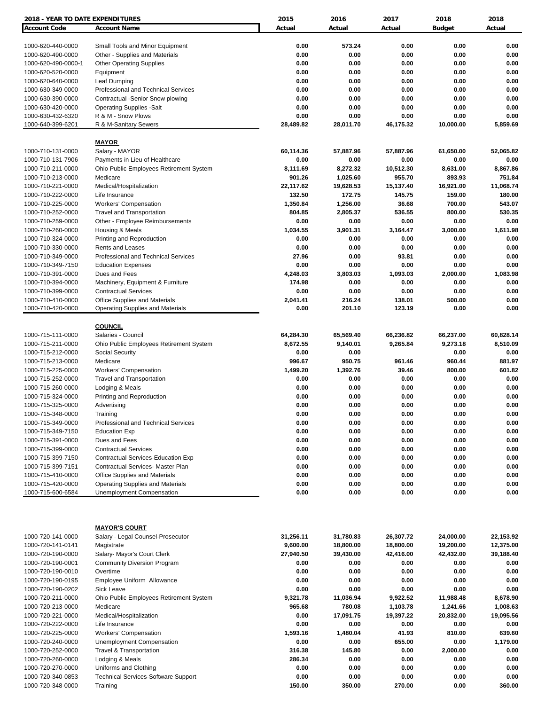| <b>2018 - YEAR TO DATE EXPENDITURES</b> |                                                | 2015                | 2016                | 2017                | 2018                | 2018                |
|-----------------------------------------|------------------------------------------------|---------------------|---------------------|---------------------|---------------------|---------------------|
| <b>Account Code</b>                     | <b>Account Name</b>                            | Actual              | Actual              | Actual              | <b>Budget</b>       | Actual              |
|                                         |                                                |                     |                     |                     |                     |                     |
| 1000-620-440-0000                       | Small Tools and Minor Equipment                | 0.00                | 573.24              | 0.00                | 0.00                | 0.00                |
| 1000-620-490-0000                       | Other - Supplies and Materials                 | 0.00                | 0.00                | 0.00                | 0.00                | 0.00                |
| 1000-620-490-0000-1                     | <b>Other Operating Supplies</b>                | 0.00                | 0.00                | 0.00                | 0.00                | 0.00                |
| 1000-620-520-0000                       | Equipment                                      | 0.00                | 0.00                | 0.00                | 0.00                | 0.00                |
| 1000-620-640-0000                       | Leaf Dumping                                   | 0.00                | 0.00                | 0.00                | 0.00                | 0.00                |
| 1000-630-349-0000                       | <b>Professional and Technical Services</b>     | 0.00                | 0.00                | 0.00                | 0.00                | 0.00                |
| 1000-630-390-0000                       | Contractual -Senior Snow plowing               | 0.00                | 0.00                | 0.00                | 0.00                | 0.00                |
| 1000-630-420-0000                       | <b>Operating Supplies -Salt</b>                | 0.00                | 0.00                | 0.00                | 0.00                | 0.00                |
| 1000-630-432-6320                       | R & M - Snow Plows                             | 0.00                | 0.00                | 0.00                | 0.00                | 0.00                |
| 1000-640-399-6201                       | R & M-Sanitary Sewers                          | 28,489.82           | 28,011.70           | 46,175.32           | 10,000.00           | 5,859.69            |
|                                         |                                                |                     |                     |                     |                     |                     |
|                                         | <b>MAYOR</b>                                   |                     |                     |                     |                     |                     |
| 1000-710-131-0000                       | Salary - MAYOR                                 | 60,114.36           | 57,887.96           | 57,887.96           | 61,650.00           | 52,065.82           |
| 1000-710-131-7906                       | Payments in Lieu of Healthcare                 | 0.00                | 0.00                | 0.00                | 0.00                | 0.00                |
| 1000-710-211-0000                       | Ohio Public Employees Retirement System        | 8,111.69            | 8,272.32            | 10,512.30<br>955.70 | 8,631.00            | 8,867.86<br>751.84  |
| 1000-710-213-0000                       | Medicare                                       | 901.26              | 1,025.60            |                     | 893.93              |                     |
| 1000-710-221-0000                       | Medical/Hospitalization                        | 22,117.62<br>132.50 | 19,628.53<br>172.75 | 15,137.40<br>145.75 | 16,921.00<br>159.00 | 11,068.74<br>180.00 |
| 1000-710-222-0000                       | Life Insurance<br><b>Workers' Compensation</b> | 1,350.84            | 1,256.00            | 36.68               | 700.00              | 543.07              |
| 1000-710-225-0000<br>1000-710-252-0000  | <b>Travel and Transportation</b>               | 804.85              |                     | 536.55              | 800.00              | 530.35              |
| 1000-710-259-0000                       | Other - Employee Reimbursements                | 0.00                | 2,805.37<br>0.00    | 0.00                | 0.00                | 0.00                |
| 1000-710-260-0000                       | Housing & Meals                                | 1,034.55            | 3,901.31            | 3,164.47            | 3,000.00            | 1,611.98            |
| 1000-710-324-0000                       | Printing and Reproduction                      | 0.00                | 0.00                | 0.00                | 0.00                | 0.00                |
| 1000-710-330-0000                       | <b>Rents and Leases</b>                        | 0.00                | 0.00                | 0.00                | 0.00                | 0.00                |
| 1000-710-349-0000                       | Professional and Technical Services            | 27.96               | 0.00                | 93.81               | 0.00                | 0.00                |
| 1000-710-349-7150                       | <b>Education Expenses</b>                      | 0.00                | 0.00                | 0.00                | 0.00                | 0.00                |
| 1000-710-391-0000                       | Dues and Fees                                  | 4,248.03            | 3,803.03            | 1,093.03            | 2,000.00            | 1,083.98            |
| 1000-710-394-0000                       | Machinery, Equipment & Furniture               | 174.98              | 0.00                | 0.00                | 0.00                | 0.00                |
| 1000-710-399-0000                       | <b>Contractual Services</b>                    | 0.00                | 0.00                | 0.00                | 0.00                | 0.00                |
| 1000-710-410-0000                       | <b>Office Supplies and Materials</b>           | 2,041.41            | 216.24              | 138.01              | 500.00              | 0.00                |
| 1000-710-420-0000                       | Operating Supplies and Materials               | 0.00                | 201.10              | 123.19              | 0.00                | 0.00                |
|                                         |                                                |                     |                     |                     |                     |                     |
|                                         | <b>COUNCIL</b>                                 |                     |                     |                     |                     |                     |
| 1000-715-111-0000                       | Salaries - Council                             | 64,284.30           | 65,569.40           | 66,236.82           | 66,237.00           | 60,828.14           |
| 1000-715-211-0000                       | Ohio Public Employees Retirement System        | 8,672.55            | 9,140.01            | 9,265.84            | 9,273.18            | 8,510.09            |
| 1000-715-212-0000                       | Social Security                                | 0.00                | 0.00                |                     | 0.00                | 0.00                |
| 1000-715-213-0000                       | Medicare                                       | 996.67              | 950.75              | 961.46              | 960.44              | 881.97              |
| 1000-715-225-0000                       | <b>Workers' Compensation</b>                   | 1,499.20            | 1,392.76            | 39.46               | 800.00              | 601.82              |
| 1000-715-252-0000                       | <b>Travel and Transportation</b>               | 0.00                | 0.00                | 0.00                | 0.00                | 0.00                |
| 1000-715-260-0000                       | Lodging & Meals                                | 0.00                | 0.00                | 0.00                | 0.00                | 0.00                |
| 1000-715-324-0000                       | Printing and Reproduction                      | 0.00                | 0.00                | 0.00                | 0.00                | 0.00                |
| 1000-715-325-0000                       | Advertising                                    | 0.00                | 0.00                | 0.00                | 0.00                | 0.00                |
| 1000-715-348-0000                       | Training                                       | 0.00                | 0.00                | 0.00                | 0.00                | 0.00                |
| 1000-715-349-0000                       | Professional and Technical Services            | 0.00                | 0.00                | 0.00                | 0.00                | 0.00                |
| 1000-715-349-7150                       | <b>Education Exp</b>                           | 0.00                | 0.00                | 0.00                | 0.00                | 0.00                |
| 1000-715-391-0000                       | Dues and Fees                                  | 0.00                | 0.00                | 0.00                | 0.00                | 0.00                |
| 1000-715-399-0000                       | <b>Contractual Services</b>                    | 0.00                | 0.00                | 0.00                | 0.00                | 0.00                |
| 1000-715-399-7150                       | Contractual Services-Education Exp             | 0.00                | 0.00                | 0.00                | 0.00                | 0.00                |
| 1000-715-399-7151                       | Contractual Services- Master Plan              | 0.00                | 0.00                | 0.00                | 0.00                | 0.00                |
| 1000-715-410-0000                       | <b>Office Supplies and Materials</b>           | 0.00                | 0.00                | 0.00                | 0.00                | 0.00                |
| 1000-715-420-0000                       | <b>Operating Supplies and Materials</b>        | 0.00                | 0.00                | 0.00                | 0.00                | 0.00                |
| 1000-715-600-6584                       | Unemployment Compensation                      | 0.00                | 0.00                | 0.00                | 0.00                | 0.00                |
|                                         |                                                |                     |                     |                     |                     |                     |
|                                         | <u> MAYOR'S COURT</u>                          |                     |                     |                     |                     |                     |
| 1000-720-141-0000                       | Salary - Legal Counsel-Prosecutor              | 31,256.11           | 31,780.83           | 26,307.72           | 24,000.00           | 22,153.92           |
| 1000-720-141-0141                       | Magistrate                                     | 9,600.00            | 18,800.00           | 18,800.00           | 19,200.00           | 12,375.00           |
| 1000-720-190-0000                       | Salary- Mayor's Court Clerk                    | 27,940.50           | 39,430.00           | 42,416.00           | 42,432.00           | 39,188.40           |
| 1000-720-190-0001                       | <b>Community Diversion Program</b>             | 0.00                | 0.00                | 0.00                | 0.00                | 0.00                |
| 1000-720-190-0010                       | Overtime                                       | 0.00                | 0.00                | 0.00                | 0.00                | 0.00                |
| 1000-720-190-0195                       | Employee Uniform Allowance                     | 0.00                | 0.00                | 0.00                | 0.00                | 0.00                |
| 1000-720-190-0202                       | Sick Leave                                     | 0.00                | 0.00                | 0.00                | 0.00                | 0.00                |
| 1000-720-211-0000                       | Ohio Public Employees Retirement System        | 9,321.78            | 11,036.94           | 9,922.52            | 11,988.48           | 8,678.90            |
| 1000-720-213-0000                       | Medicare                                       | 965.68              | 780.08              | 1,103.78            | 1,241.66            | 1,008.63            |
| 1000-720-221-0000                       | Medical/Hospitalization                        | 0.00                | 17,091.75           | 19,397.22           | 20,832.00           | 19,095.56           |
| 1000-720-222-0000                       | Life Insurance                                 | 0.00                | 0.00                | 0.00                | 0.00                | 0.00                |
| 1000-720-225-0000                       | <b>Workers' Compensation</b>                   | 1,593.16            | 1,480.04            | 41.93               | 810.00              | 639.60              |
| 1000-720-240-0000                       | Unemployment Compensation                      | 0.00                | 0.00                | 655.00              | 0.00                | 1,179.00            |
| 1000-720-252-0000                       | Travel & Transportation                        | 316.38              | 145.80              | 0.00                | 2,000.00            | 0.00                |
| 1000-720-260-0000                       | Lodging & Meals                                | 286.34              | 0.00                | 0.00                | 0.00                | 0.00                |
| 1000-720-270-0000                       | Uniforms and Clothing                          | 0.00                | 0.00                | 0.00                | 0.00                | 0.00                |
| 1000-720-340-0853                       | <b>Technical Services-Software Support</b>     | 0.00                | 0.00                | 0.00                | 0.00                | 0.00                |
| 1000-720-348-0000                       | Training                                       | 150.00              | 350.00              | 270.00              | 0.00                | 360.00              |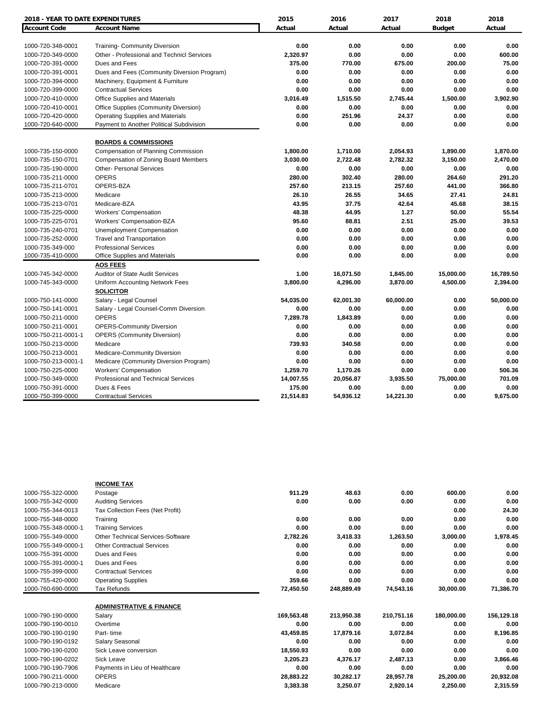| <b>2018 - YEAR TO DATE EXPENDITURES</b> |                                                       | 2015          | 2016      | 2017      | 2018          | 2018      |
|-----------------------------------------|-------------------------------------------------------|---------------|-----------|-----------|---------------|-----------|
| <b>Account Code</b>                     | <b>Account Name</b>                                   | Actual        | Actual    | Actual    | <b>Budget</b> | Actual    |
|                                         |                                                       |               |           |           |               |           |
| 1000-720-348-0001                       | <b>Training- Community Diversion</b>                  | 0.00          | 0.00      | 0.00      | 0.00          | 0.00      |
| 1000-720-349-0000                       | Other - Professional and Technicl Services            | 2,320.97      | 0.00      | 0.00      | 0.00          | 600.00    |
| 1000-720-391-0000                       | Dues and Fees                                         | 375.00        | 770.00    | 675.00    | 200.00        | 75.00     |
| 1000-720-391-0001                       | Dues and Fees (Community Diversion Program)           | 0.00          | 0.00      | 0.00      | 0.00          | 0.00      |
| 1000-720-394-0000                       | Machinery, Equipment & Furniture                      | 0.00          | 0.00      | 0.00      | 0.00          | 0.00      |
| 1000-720-399-0000                       | <b>Contractual Services</b>                           | 0.00          | 0.00      | 0.00      | 0.00          | 0.00      |
| 1000-720-410-0000                       | <b>Office Supplies and Materials</b>                  | 3,016.49      | 1,515.50  | 2,745.44  | 1,500.00      | 3,902.90  |
| 1000-720-410-0001                       | Office Supplies (Community Diversion)                 | 0.00          | 0.00      | 0.00      | 0.00          | 0.00      |
| 1000-720-420-0000                       | <b>Operating Supplies and Materials</b>               | 0.00          | 251.96    | 24.37     | 0.00          | 0.00      |
| 1000-720-640-0000                       | Payment to Another Political Subdivision              | 0.00          | 0.00      | 0.00      | 0.00          | 0.00      |
|                                         | <b>BOARDS &amp; COMMISSIONS</b>                       |               |           |           |               |           |
| 1000-735-150-0000                       | Compensation of Planning Commission                   | 1,800.00      | 1,710.00  | 2,054.93  | 1,890.00      | 1,870.00  |
| 1000-735-150-0701                       | Compensation of Zoning Board Members                  | 3,030.00      | 2.722.48  | 2,782.32  | 3,150.00      | 2,470.00  |
| 1000-735-190-0000                       | <b>Other- Personal Services</b>                       | 0.00          | 0.00      | 0.00      | 0.00          | 0.00      |
| 1000-735-211-0000                       | <b>OPERS</b>                                          | 280.00        | 302.40    | 280.00    | 264.60        | 291.20    |
| 1000-735-211-0701                       | OPERS-BZA                                             | 257.60        | 213.15    | 257.60    | 441.00        | 366.80    |
| 1000-735-213-0000                       | Medicare                                              | 26.10         | 26.55     | 34.65     | 27.41         | 24.81     |
| 1000-735-213-0701                       | Medicare-BZA                                          | 43.95         | 37.75     | 42.64     | 45.68         | 38.15     |
|                                         |                                                       |               | 44.95     | 1.27      |               | 55.54     |
| 1000-735-225-0000                       | <b>Workers' Compensation</b>                          | 48.38         |           |           | 50.00         |           |
| 1000-735-225-0701                       | <b>Workers' Compensation-BZA</b>                      | 95.60<br>0.00 | 88.81     | 2.51      | 25.00<br>0.00 | 39.53     |
| 1000-735-240-0701                       | <b>Unemployment Compensation</b>                      |               | 0.00      | 0.00      |               | 0.00      |
| 1000-735-252-0000                       | <b>Travel and Transportation</b>                      | 0.00          | 0.00      | 0.00      | 0.00          | 0.00      |
| 1000-735-349-000                        | <b>Professional Services</b>                          | 0.00          | 0.00      | 0.00      | 0.00          | 0.00      |
| 1000-735-410-0000                       | Office Supplies and Materials<br><b>AOS FEES</b>      | 0.00          | 0.00      | 0.00      | 0.00          | 0.00      |
| 1000-745-342-0000                       | <b>Auditor of State Audit Services</b>                | 1.00          | 16,071.50 | 1,845.00  | 15,000.00     | 16,789.50 |
| 1000-745-343-0000                       | Uniform Accounting Network Fees                       | 3,800.00      | 4,296.00  | 3,870.00  | 4,500.00      | 2,394.00  |
|                                         | <b>SOLICITOR</b>                                      |               |           |           |               |           |
| 1000-750-141-0000                       | Salary - Legal Counsel                                | 54,035.00     | 62,001.30 | 60,000.00 | 0.00          | 50,000.00 |
| 1000-750-141-0001                       |                                                       | 0.00          | 0.00      | 0.00      | 0.00          | 0.00      |
|                                         | Salary - Legal Counsel-Comm Diversion<br><b>OPERS</b> |               |           |           |               |           |
| 1000-750-211-0000                       |                                                       | 7,289.78      | 1,843.89  | 0.00      | 0.00          | 0.00      |
| 1000-750-211-0001                       | <b>OPERS-Community Diversion</b>                      | 0.00          | 0.00      | 0.00      | 0.00          | 0.00      |
| 1000-750-211-0001-1                     | <b>OPERS (Community Diversion)</b>                    | 0.00          | 0.00      | 0.00      | 0.00          | 0.00      |
| 1000-750-213-0000                       | Medicare                                              | 739.93        | 340.58    | 0.00      | 0.00          | 0.00      |
| 1000-750-213-0001                       | Medicare-Community Diversion                          | 0.00          | 0.00      | 0.00      | 0.00          | 0.00      |
| 1000-750-213-0001-1                     | Medicare (Community Diversion Program)                | 0.00          | 0.00      | 0.00      | 0.00          | 0.00      |
| 1000-750-225-0000                       | <b>Workers' Compensation</b>                          | 1,259.70      | 1,170.26  | 0.00      | 0.00          | 506.36    |
| 1000-750-349-0000                       | Professional and Technical Services                   | 14,007.55     | 20,056.87 | 3,935.50  | 75,000.00     | 701.09    |
| 1000-750-391-0000                       | Dues & Fees                                           | 175.00        | 0.00      | 0.00      | 0.00          | 0.00      |
| 1000-750-399-0000                       | <b>Contractual Services</b>                           | 21,514.83     | 54,936.12 | 14,221.30 | 0.00          | 9,675.00  |

|                     | <b>INCOME TAX</b>                        |            |            |            |            |            |
|---------------------|------------------------------------------|------------|------------|------------|------------|------------|
| 1000-755-322-0000   | Postage                                  | 911.29     | 48.63      | 0.00       | 600.00     | 0.00       |
| 1000-755-342-0000   | <b>Auditing Services</b>                 | 0.00       | 0.00       | 0.00       | 0.00       | 0.00       |
| 1000-755-344-0013   | Tax Collection Fees (Net Profit)         |            |            |            | 0.00       | 24.30      |
| 1000-755-348-0000   | Training                                 | 0.00       | 0.00       | 0.00       | 0.00       | 0.00       |
| 1000-755-348-0000-1 | <b>Training Services</b>                 | 0.00       | 0.00       | 0.00       | 0.00       | 0.00       |
| 1000-755-349-0000   | <b>Other Technical Services-Software</b> | 2,782.26   | 3,418.33   | 1,263.50   | 3,000.00   | 1,978.45   |
| 1000-755-349-0000-1 | <b>Other Contractual Services</b>        | 0.00       | 0.00       | 0.00       | 0.00       | 0.00       |
| 1000-755-391-0000   | Dues and Fees                            | 0.00       | 0.00       | 0.00       | 0.00       | 0.00       |
| 1000-755-391-0000-1 | Dues and Fees                            | 0.00       | 0.00       | 0.00       | 0.00       | 0.00       |
| 1000-755-399-0000   | <b>Contractual Services</b>              | 0.00       | 0.00       | 0.00       | 0.00       | 0.00       |
| 1000-755-420-0000   | <b>Operating Supplies</b>                | 359.66     | 0.00       | 0.00       | 0.00       | 0.00       |
| 1000-760-690-0000   | Tax Refunds                              | 72,450.50  | 248,889.49 | 74,543.16  | 30,000.00  | 71,386.70  |
|                     | <b>ADMINISTRATIVE &amp; FINANCE</b>      |            |            |            |            |            |
| 1000-790-190-0000   | Salary                                   | 169,563.48 | 213,950.38 | 210,751.16 | 180,000.00 | 156,129.18 |
| 1000-790-190-0010   | Overtime                                 | 0.00       | 0.00       | 0.00       | 0.00       | 0.00       |
| 1000-790-190-0190   | Part-time                                | 43,459.85  | 17,879.16  | 3,072.84   | 0.00       | 8,196.85   |
| 1000-790-190-0192   | Salary Seasonal                          | 0.00       | 0.00       | 0.00       | 0.00       | 0.00       |
| 1000-790-190-0200   | Sick Leave conversion                    | 18,550.93  | 0.00       | 0.00       | 0.00       | 0.00       |
| 1000-790-190-0202   | <b>Sick Leave</b>                        | 3,205.23   | 4,376.17   | 2,487.13   | 0.00       | 3,866.46   |
| 1000-790-190-7906   | Payments in Lieu of Healthcare           | 0.00       | 0.00       | 0.00       | 0.00       | 0.00       |
| 1000-790-211-0000   | <b>OPERS</b>                             | 28,883.22  | 30,282.17  | 28,957.78  | 25,200.00  | 20,932.08  |
| 1000-790-213-0000   | Medicare                                 | 3,383.38   | 3,250.07   | 2,920.14   | 2,250.00   | 2,315.59   |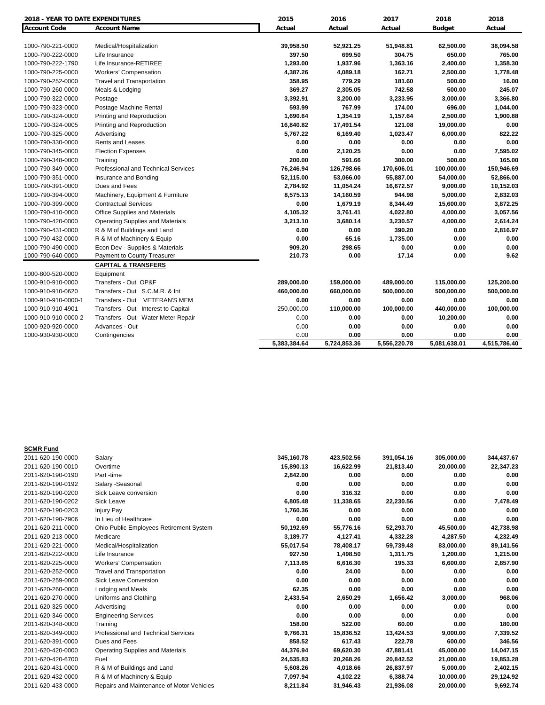| <b>2018 - YEAR TO DATE EXPENDITURES</b> |                                         | 2015         | 2016         | 2017         | 2018          | 2018         |
|-----------------------------------------|-----------------------------------------|--------------|--------------|--------------|---------------|--------------|
| Account Code                            | <b>Account Name</b>                     | Actual       | Actual       | Actual       | <b>Budget</b> | Actual       |
|                                         |                                         |              |              |              |               |              |
| 1000-790-221-0000                       | Medical/Hospitalization                 | 39,958.50    | 52,921.25    | 51,948.81    | 62,500.00     | 38,094.58    |
| 1000-790-222-0000                       | Life Insurance                          | 397.50       | 699.50       | 304.75       | 650.00        | 765.00       |
| 1000-790-222-1790                       | Life Insurance-RETIREE                  | 1,293.00     | 1,937.96     | 1,363.16     | 2,400.00      | 1,358.30     |
| 1000-790-225-0000                       | <b>Workers' Compensation</b>            | 4,387.26     | 4,089.18     | 162.71       | 2,500.00      | 1,778.48     |
| 1000-790-252-0000                       | <b>Travel and Transportation</b>        | 358.95       | 779.29       | 181.60       | 500.00        | 16.00        |
| 1000-790-260-0000                       | Meals & Lodging                         | 369.27       | 2,305.05     | 742.58       | 500.00        | 245.07       |
| 1000-790-322-0000                       | Postage                                 | 3,392.91     | 3,200.00     | 3,233.95     | 3,000.00      | 3,366.80     |
| 1000-790-323-0000                       | Postage Machine Rental                  | 593.99       | 767.99       | 174.00       | 696.00        | 1,044.00     |
| 1000-790-324-0000                       | Printing and Reproduction               | 1,690.64     | 1,354.19     | 1,157.64     | 2,500.00      | 1,900.88     |
| 1000-790-324-0005                       | Printing and Reproduction               | 16,840.82    | 17,491.54    | 121.08       | 19,000.00     | 0.00         |
| 1000-790-325-0000                       | Advertising                             | 5,767.22     | 6,169.40     | 1,023.47     | 6,000.00      | 822.22       |
| 1000-790-330-0000                       | <b>Rents and Leases</b>                 | 0.00         | 0.00         | 0.00         | 0.00          | 0.00         |
| 1000-790-345-0000                       | <b>Election Expenses</b>                | 0.00         | 2,120.25     | 0.00         | 0.00          | 7,595.02     |
| 1000-790-348-0000                       | Training                                | 200.00       | 591.66       | 300.00       | 500.00        | 165.00       |
| 1000-790-349-0000                       | Professional and Technical Services     | 76,246.94    | 126,798.66   | 170,606.01   | 100,000.00    | 150,946.69   |
| 1000-790-351-0000                       | Insurance and Bonding                   | 52,115.00    | 53,066.00    | 55,887.00    | 54,000.00     | 52,866.00    |
| 1000-790-391-0000                       | Dues and Fees                           | 2,784.92     | 11,054.24    | 16,672.57    | 9,000.00      | 10,152.03    |
| 1000-790-394-0000                       | Machinery, Equipment & Furniture        | 8,575.13     | 14,160.59    | 944.98       | 5,000.00      | 2,832.03     |
| 1000-790-399-0000                       | <b>Contractual Services</b>             | 0.00         | 1,679.19     | 8,344.49     | 15,600.00     | 3,872.25     |
| 1000-790-410-0000                       | Office Supplies and Materials           | 4,105.32     | 3,761.41     | 4,022.80     | 4,000.00      | 3,057.56     |
| 1000-790-420-0000                       | <b>Operating Supplies and Materials</b> | 3,213.10     | 3,680.14     | 3,230.57     | 4,000.00      | 2,614.24     |
| 1000-790-431-0000                       | R & M of Buildings and Land             | 0.00         | 0.00         | 390.20       | 0.00          | 2,816.97     |
| 1000-790-432-0000                       | R & M of Machinery & Equip              | 0.00         | 65.16        | 1,735.00     | 0.00          | 0.00         |
| 1000-790-490-0000                       | Econ Dev - Supplies & Materials         | 909.20       | 298.65       | 0.00         | 0.00          | 0.00         |
| 1000-790-640-0000                       | Payment to County Treasurer             | 210.73       | 0.00         | 17.14        | 0.00          | 9.62         |
|                                         | <b>CAPITAL &amp; TRANSFERS</b>          |              |              |              |               |              |
| 1000-800-520-0000                       | Equipment                               |              |              |              |               |              |
| 1000-910-910-0000                       | Transfers - Out OP&F                    | 289,000.00   | 159,000.00   | 489,000.00   | 115,000.00    | 125,200.00   |
| 1000-910-910-0620                       | Transfers - Out S.C.M.R. & Int          | 460,000.00   | 660,000.00   | 500,000.00   | 500,000.00    | 500,000.00   |
| 1000-910-910-0000-1                     | Transfers - Out VETERAN'S MEM           | 0.00         | 0.00         | 0.00         | 0.00          | 0.00         |
| 1000-910-910-4901                       | Transfers - Out Interest to Capital     | 250,000.00   | 110,000.00   | 100,000.00   | 440,000.00    | 100,000.00   |
| 1000-910-910-0000-2                     | Transfers - Out Water Meter Repair      | 0.00         | 0.00         | 0.00         | 10,200.00     | 0.00         |
| 1000-920-920-0000                       | Advances - Out                          | 0.00         | 0.00         | 0.00         | 0.00          | 0.00         |
| 1000-930-930-0000                       | Contingencies                           | 0.00         | 0.00         | 0.00         | 0.00          | 0.00         |
|                                         |                                         | 5.383.384.64 | 5.724.853.36 | 5.556.220.78 | 5,081,638.01  | 4,515,786.40 |

| <b>SCMR Fund</b>  |                                            |            |            |            |            |            |
|-------------------|--------------------------------------------|------------|------------|------------|------------|------------|
| 2011-620-190-0000 | Salary                                     | 345,160.78 | 423,502.56 | 391,054.16 | 305,000.00 | 344,437.67 |
| 2011-620-190-0010 | Overtime                                   | 15,890.13  | 16,622.99  | 21,813.40  | 20.000.00  | 22,347.23  |
| 2011-620-190-0190 | Part -time                                 | 2,842.00   | 0.00       | 0.00       | 0.00       | 0.00       |
| 2011-620-190-0192 | Salary -Seasonal                           | 0.00       | 0.00       | 0.00       | 0.00       | 0.00       |
| 2011-620-190-0200 | Sick Leave conversion                      | 0.00       | 316.32     | 0.00       | 0.00       | 0.00       |
| 2011-620-190-0202 | Sick Leave                                 | 6,805.48   | 11,338.65  | 22,230.56  | 0.00       | 7,478.49   |
| 2011-620-190-0203 | Injury Pay                                 | 1,760.36   | 0.00       | 0.00       | 0.00       | 0.00       |
| 2011-620-190-7906 | In Lieu of Healthcare                      | 0.00       | 0.00       | 0.00       | 0.00       | 0.00       |
| 2011-620-211-0000 | Ohio Public Employees Retirement System    | 50,192.69  | 55,776.16  | 52,293.70  | 45,500.00  | 42,738.98  |
| 2011-620-213-0000 | Medicare                                   | 3,189.77   | 4,127.41   | 4,332.28   | 4,287.50   | 4,232.49   |
| 2011-620-221-0000 | Medical/Hospitalization                    | 55,017.54  | 78,408.17  | 59,739.48  | 83,000.00  | 89,141.56  |
| 2011-620-222-0000 | Life Insurance                             | 927.50     | 1,498.50   | 1,311.75   | 1,200.00   | 1,215.00   |
| 2011-620-225-0000 | <b>Workers' Compensation</b>               | 7,113.65   | 6,616.30   | 195.33     | 6,600.00   | 2,857.90   |
| 2011-620-252-0000 | <b>Travel and Transportation</b>           | 0.00       | 24.00      | 0.00       | 0.00       | 0.00       |
| 2011-620-259-0000 | <b>Sick Leave Conversion</b>               | 0.00       | 0.00       | 0.00       | 0.00       | 0.00       |
| 2011-620-260-0000 | Lodging and Meals                          | 62.35      | 0.00       | 0.00       | 0.00       | 0.00       |
| 2011-620-270-0000 | Uniforms and Clothing                      | 2,433.54   | 2,650.29   | 1,656.42   | 3,000.00   | 968.06     |
| 2011-620-325-0000 | Advertising                                | 0.00       | 0.00       | 0.00       | 0.00       | 0.00       |
| 2011-620-346-0000 | <b>Engineering Services</b>                | 0.00       | 0.00       | 0.00       | 0.00       | 0.00       |
| 2011-620-348-0000 | Training                                   | 158.00     | 522.00     | 60.00      | 0.00       | 180.00     |
| 2011-620-349-0000 | <b>Professional and Technical Services</b> | 9,766.31   | 15.836.52  | 13,424.53  | 9.000.00   | 7.339.52   |
| 2011-620-391-0000 | Dues and Fees                              | 858.52     | 617.43     | 222.78     | 600.00     | 346.56     |
| 2011-620-420-0000 | <b>Operating Supplies and Materials</b>    | 44,376.94  | 69,620.30  | 47,881.41  | 45,000.00  | 14,047.15  |
| 2011-620-420-6700 | Fuel                                       | 24,535.83  | 20,268.26  | 20,842.52  | 21,000.00  | 19,853.28  |
| 2011-620-431-0000 | R & M of Buildings and Land                | 5,608.26   | 4,018.66   | 26,837.97  | 5,000.00   | 2,402.15   |
| 2011-620-432-0000 | R & M of Machinery & Equip                 | 7,097.94   | 4,102.22   | 6,388.74   | 10,000.00  | 29,124.92  |
| 2011-620-433-0000 | Repairs and Maintenance of Motor Vehicles  | 8,211.84   | 31,946.43  | 21,936.08  | 20,000.00  | 9,692.74   |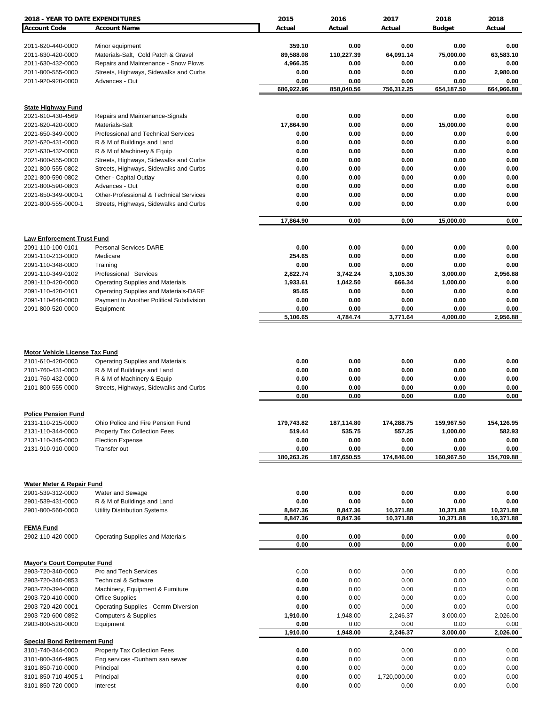| 2018 - YEAR TO DATE EXPENDITURES                                                                     |                                                                                                      | 2015                  | 2016                 | 2017                 | 2018                 | 2018                 |
|------------------------------------------------------------------------------------------------------|------------------------------------------------------------------------------------------------------|-----------------------|----------------------|----------------------|----------------------|----------------------|
| <b>Account Code</b>                                                                                  | <b>Account Name</b>                                                                                  | Actual                | Actual               | Actual               | <b>Budget</b>        | Actual               |
|                                                                                                      |                                                                                                      |                       |                      |                      |                      |                      |
| 2011-620-440-0000                                                                                    | Minor equipment                                                                                      | 359.10                | 0.00                 | 0.00                 | 0.00                 | 0.00                 |
| 2011-630-420-0000<br>2011-630-432-0000                                                               | Materials-Salt, Cold Patch & Gravel<br>Repairs and Maintenance - Snow Plows                          | 89,588.08<br>4,966.35 | 110,227.39<br>0.00   | 64,091.14<br>0.00    | 75,000.00<br>0.00    | 63,583.10<br>0.00    |
| 2011-800-555-0000                                                                                    | Streets, Highways, Sidewalks and Curbs                                                               | 0.00                  | 0.00                 | 0.00                 | 0.00                 | 2,980.00             |
| 2011-920-920-0000                                                                                    | Advances - Out                                                                                       | 0.00                  | 0.00                 | 0.00                 | 0.00                 | 0.00                 |
|                                                                                                      |                                                                                                      | 686,922.96            | 858,040.56           | 756,312.25           | 654,187.50           | 664,966.80           |
|                                                                                                      |                                                                                                      |                       |                      |                      |                      |                      |
| <b>State Highway Fund</b><br>2021-610-430-4569                                                       | Repairs and Maintenance-Signals                                                                      | 0.00                  | 0.00                 | 0.00                 | 0.00                 | 0.00                 |
| 2021-620-420-0000                                                                                    | Materials-Salt                                                                                       | 17,864.90             | 0.00                 | 0.00                 | 15,000.00            | 0.00                 |
| 2021-650-349-0000                                                                                    | Professional and Technical Services                                                                  | 0.00                  | 0.00                 | 0.00                 | 0.00                 | 0.00                 |
| 2021-620-431-0000                                                                                    | R & M of Buildings and Land                                                                          | 0.00                  | 0.00                 | 0.00                 | 0.00                 | 0.00                 |
| 2021-630-432-0000                                                                                    | R & M of Machinery & Equip                                                                           | 0.00                  | 0.00                 | 0.00                 | 0.00                 | 0.00                 |
| 2021-800-555-0000                                                                                    | Streets, Highways, Sidewalks and Curbs                                                               | 0.00                  | 0.00                 | 0.00                 | 0.00                 | 0.00                 |
| 2021-800-555-0802                                                                                    | Streets, Highways, Sidewalks and Curbs                                                               | 0.00                  | 0.00                 | 0.00                 | 0.00                 | 0.00                 |
| 2021-800-590-0802<br>2021-800-590-0803                                                               | Other - Capital Outlay<br>Advances - Out                                                             | 0.00<br>0.00          | 0.00<br>0.00         | 0.00<br>0.00         | 0.00<br>0.00         | 0.00<br>0.00         |
| 2021-650-349-0000-1                                                                                  | Other-Professional & Technical Services                                                              | 0.00                  | 0.00                 | 0.00                 | 0.00                 | 0.00                 |
| 2021-800-555-0000-1                                                                                  | Streets, Highways, Sidewalks and Curbs                                                               | 0.00                  | 0.00                 | 0.00                 | 0.00                 | 0.00                 |
|                                                                                                      |                                                                                                      |                       |                      |                      |                      |                      |
|                                                                                                      |                                                                                                      | 17,864.90             | 0.00                 | 0.00                 | 15,000.00            | 0.00                 |
| <b>Law Enforcement Trust Fund</b>                                                                    |                                                                                                      |                       |                      |                      |                      |                      |
| 2091-110-100-0101                                                                                    | <b>Personal Services-DARE</b>                                                                        | 0.00                  | 0.00                 | 0.00                 | 0.00                 | 0.00                 |
| 2091-110-213-0000                                                                                    | Medicare                                                                                             | 254.65                | 0.00                 | 0.00                 | 0.00                 | 0.00                 |
| 2091-110-348-0000                                                                                    | Training                                                                                             | 0.00                  | 0.00                 | 0.00                 | 0.00                 | 0.00                 |
| 2091-110-349-0102                                                                                    | Professional Services                                                                                | 2,822.74              | 3,742.24             | 3,105.30<br>666.34   | 3,000.00<br>1,000.00 | 2,956.88             |
| 2091-110-420-0000<br>2091-110-420-0101                                                               | <b>Operating Supplies and Materials</b><br>Operating Supplies and Materials-DARE                     | 1,933.61<br>95.65     | 1,042.50<br>0.00     | 0.00                 | 0.00                 | 0.00<br>0.00         |
| 2091-110-640-0000                                                                                    | Payment to Another Political Subdivision                                                             | 0.00                  | 0.00                 | 0.00                 | 0.00                 | 0.00                 |
| 2091-800-520-0000                                                                                    | Equipment                                                                                            | 0.00                  | 0.00                 | 0.00                 | 0.00                 | 0.00                 |
|                                                                                                      |                                                                                                      | 5,106.65              | 4,784.74             | 3,771.64             | 4,000.00             | 2,956.88             |
| <b>Motor Vehicle License Tax Fund</b><br>2101-610-420-0000<br>2101-760-431-0000<br>2101-760-432-0000 | <b>Operating Supplies and Materials</b><br>R & M of Buildings and Land<br>R & M of Machinery & Equip | 0.00<br>0.00<br>0.00  | 0.00<br>0.00<br>0.00 | 0.00<br>0.00<br>0.00 | 0.00<br>0.00<br>0.00 | 0.00<br>0.00<br>0.00 |
| 2101-800-555-0000                                                                                    | Streets, Highways, Sidewalks and Curbs                                                               | 0.00                  | 0.00                 | 0.00                 | 0.00                 | 0.00                 |
|                                                                                                      |                                                                                                      | 0.00                  | 0.00                 | 0.00                 | 0.00                 | 0.00                 |
| <b>Police Pension Fund</b>                                                                           |                                                                                                      |                       |                      |                      |                      |                      |
| 2131-110-215-0000                                                                                    | Ohio Police and Fire Pension Fund                                                                    | 179,743.82            | 187,114.80           | 174,288.75           | 159,967.50           | 154,126.95           |
| 2131-110-344-0000                                                                                    | <b>Property Tax Collection Fees</b>                                                                  | 519.44                | 535.75               | 557.25               | 1,000.00             | 582.93               |
| 2131-110-345-0000                                                                                    | <b>Election Expense</b>                                                                              | 0.00                  | 0.00                 | 0.00                 | 0.00                 | 0.00                 |
| 2131-910-910-0000                                                                                    | Transfer out                                                                                         | 0.00                  | 0.00                 | 0.00                 | 0.00                 | 0.00                 |
|                                                                                                      |                                                                                                      | 180,263.26            | 187,650.55           | 174,846.00           | 160,967.50           | 154,709.88           |
|                                                                                                      |                                                                                                      |                       |                      |                      |                      |                      |
| Water Meter & Repair Fund<br>2901-539-312-0000                                                       | Water and Sewage                                                                                     | 0.00                  | 0.00                 | 0.00                 | 0.00                 | 0.00                 |
| 2901-539-431-0000                                                                                    | R & M of Buildings and Land                                                                          | 0.00                  | 0.00                 | 0.00                 | 0.00                 | 0.00                 |
| 2901-800-560-0000                                                                                    | <b>Utility Distribution Systems</b>                                                                  | 8,847.36              | 8,847.36             | 10,371.88            | 10,371.88            | 10,371.88            |
|                                                                                                      |                                                                                                      | 8,847.36              | 8,847.36             | 10,371.88            | 10,371.88            | 10,371.88            |
| <b>FEMA Fund</b><br>2902-110-420-0000                                                                | <b>Operating Supplies and Materials</b>                                                              | 0.00                  | 0.00                 | 0.00                 | 0.00                 | 0.00                 |
|                                                                                                      |                                                                                                      | 0.00                  | 0.00                 | 0.00                 | 0.00                 | 0.00                 |
|                                                                                                      |                                                                                                      |                       |                      |                      |                      |                      |
| <b>Mayor's Court Computer Fund</b><br>2903-720-340-0000                                              | Pro and Tech Services                                                                                | 0.00                  | 0.00                 | 0.00                 | 0.00                 | 0.00                 |
| 2903-720-340-0853                                                                                    | <b>Technical &amp; Software</b>                                                                      | 0.00                  | 0.00                 | 0.00                 | 0.00                 | 0.00                 |
| 2903-720-394-0000                                                                                    | Machinery, Equipment & Furniture                                                                     | 0.00                  | 0.00                 | 0.00                 | 0.00                 | 0.00                 |
| 2903-720-410-0000                                                                                    | <b>Office Supplies</b>                                                                               | 0.00                  | 0.00                 | 0.00                 | 0.00                 | 0.00                 |
| 2903-720-420-0001                                                                                    | Operating Supplies - Comm Diversion                                                                  | 0.00                  | 0.00                 | 0.00                 | 0.00                 | 0.00                 |
| 2903-720-600-0852                                                                                    | <b>Computers &amp; Supplies</b>                                                                      | 1,910.00              | 1,948.00             | 2,246.37             | 3,000.00             | 2,026.00             |
| 2903-800-520-0000                                                                                    | Equipment                                                                                            | 0.00<br>1,910.00      | 0.00<br>1,948.00     | 0.00<br>2,246.37     | 0.00<br>3,000.00     | 0.00<br>2,026.00     |
| <b>Special Bond Retirement Fund</b>                                                                  |                                                                                                      |                       |                      |                      |                      |                      |
| 3101-740-344-0000                                                                                    | <b>Property Tax Collection Fees</b>                                                                  | 0.00                  | 0.00                 | 0.00                 | 0.00                 | 0.00                 |
| 3101-800-346-4905                                                                                    | Eng services -Dunham san sewer                                                                       | 0.00                  | 0.00                 | 0.00                 | 0.00                 | 0.00                 |
| 3101-850-710-0000                                                                                    | Principal                                                                                            | 0.00                  | 0.00                 | 0.00                 | 0.00                 | 0.00                 |
| 3101-850-710-4905-1                                                                                  | Principal                                                                                            | 0.00                  | 0.00                 | 1,720,000.00         | 0.00                 | 0.00                 |
| 3101-850-720-0000                                                                                    | Interest                                                                                             | 0.00                  | 0.00                 | 0.00                 | 0.00                 | 0.00                 |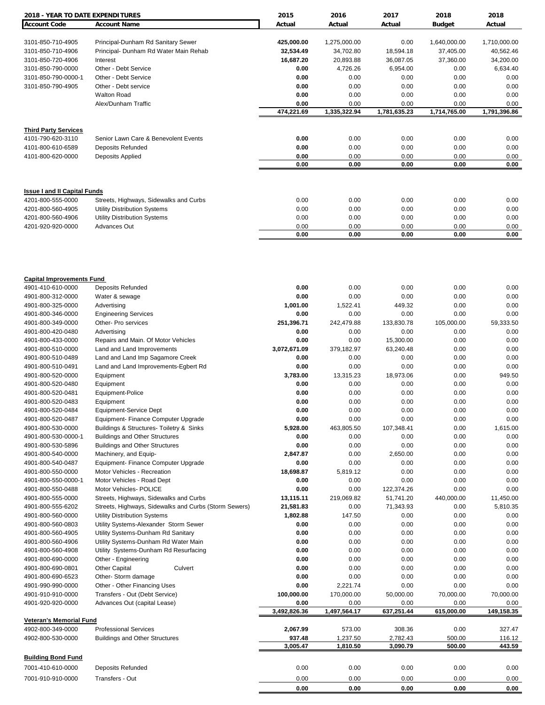| <b>2018 - YEAR TO DATE EXPENDITURES</b> |                                                       | 2015                 | 2016                 | 2017                 | 2018               | 2018               |
|-----------------------------------------|-------------------------------------------------------|----------------------|----------------------|----------------------|--------------------|--------------------|
| <b>Account Code</b>                     | <b>Account Name</b>                                   | Actual               | Actual               | Actual               | <b>Budget</b>      | Actual             |
|                                         |                                                       |                      |                      |                      |                    |                    |
| 3101-850-710-4905                       | Principal-Dunham Rd Sanitary Sewer                    | 425,000.00           | 1,275,000.00         | 0.00                 | 1,640,000.00       | 1,710,000.00       |
| 3101-850-710-4906                       | Principal- Dunham Rd Water Main Rehab                 | 32,534.49            | 34,702.80            | 18,594.18            | 37,405.00          | 40,562.46          |
| 3101-850-720-4906                       | Interest                                              | 16,687.20            | 20,893.88            | 36,087.05            | 37,360.00          | 34,200.00          |
| 3101-850-790-0000                       | Other - Debt Service                                  | 0.00                 | 4,726.26             | 6,954.00             | 0.00               | 6,634.40           |
| 3101-850-790-0000-1                     | Other - Debt Service                                  | 0.00                 | 0.00                 | 0.00                 | 0.00               | 0.00               |
| 3101-850-790-4905                       | Other - Debt service                                  | 0.00                 | 0.00                 | 0.00                 | 0.00               | 0.00               |
|                                         | <b>Walton Road</b>                                    | 0.00                 | 0.00                 | 0.00                 | 0.00               | 0.00               |
|                                         | Alex/Dunham Traffic                                   | 0.00                 | 0.00                 | 0.00                 | 0.00               | 0.00               |
|                                         |                                                       | 474,221.69           | 1,335,322.94         | 1,781,635.23         | 1,714,765.00       | 1,791,396.86       |
| <b>Third Party Services</b>             |                                                       |                      |                      |                      |                    |                    |
| 4101-790-620-3110                       | Senior Lawn Care & Benevolent Events                  | 0.00                 | 0.00                 | 0.00                 | 0.00               | 0.00               |
| 4101-800-610-6589                       | Deposits Refunded                                     | 0.00                 | 0.00                 | 0.00                 | 0.00               | 0.00               |
| 4101-800-620-0000                       | Deposits Applied                                      | 0.00                 | 0.00                 | 0.00                 | 0.00               | 0.00               |
|                                         |                                                       | 0.00                 | 0.00                 | 0.00                 | 0.00               | 0.00               |
|                                         |                                                       |                      |                      |                      |                    |                    |
| <b>Issue I and II Capital Funds</b>     |                                                       |                      |                      |                      |                    |                    |
| 4201-800-555-0000                       | Streets, Highways, Sidewalks and Curbs                | 0.00                 | 0.00                 | 0.00                 | 0.00               | 0.00               |
| 4201-800-560-4905                       | <b>Utility Distribution Systems</b>                   | 0.00                 | 0.00                 | 0.00                 | 0.00               | 0.00               |
| 4201-800-560-4906                       | <b>Utility Distribution Systems</b>                   | 0.00                 | 0.00                 | 0.00                 | 0.00               | 0.00               |
| 4201-920-920-0000                       | <b>Advances Out</b>                                   | 0.00                 | 0.00                 | 0.00                 | 0.00               | 0.00               |
|                                         |                                                       | 0.00                 | 0.00                 | 0.00                 | 0.00               | 0.00               |
|                                         |                                                       |                      |                      |                      |                    |                    |
| <b>Capital Improvements Fund</b>        |                                                       |                      |                      |                      |                    |                    |
| 4901-410-610-0000                       | Deposits Refunded                                     | 0.00                 | 0.00                 | 0.00                 | 0.00               | 0.00               |
| 4901-800-312-0000                       | Water & sewage                                        | 0.00                 | 0.00                 | 0.00                 | 0.00               | 0.00               |
| 4901-800-325-0000                       | Advertising                                           | 1,001.00             | 1,522.41             | 449.32               | 0.00               | 0.00               |
| 4901-800-346-0000                       | <b>Engineering Services</b>                           | 0.00                 | 0.00                 | 0.00                 | 0.00               | 0.00               |
| 4901-800-349-0000                       | Other- Pro services                                   | 251,396.71           | 242,479.88           | 133,830.78           | 105,000.00         | 59,333.50          |
| 4901-800-420-0480                       | Advertising                                           | 0.00                 | 0.00                 | 0.00                 | 0.00               | 0.00               |
| 4901-800-433-0000                       | Repairs and Main. Of Motor Vehicles                   | 0.00                 | 0.00                 | 15,300.00            | 0.00               | 0.00               |
| 4901-800-510-0000                       | Land and Land Improvements                            | 3,072,671.09         | 379,182.97           | 63,240.48            | 0.00               | 0.00               |
| 4901-800-510-0489                       | Land and Land Imp Sagamore Creek                      | 0.00                 | 0.00                 | 0.00                 | 0.00               | 0.00               |
| 4901-800-510-0491                       | Land and Land Improvements-Egbert Rd                  | 0.00                 | 0.00                 | 0.00                 | 0.00               | 0.00               |
| 4901-800-520-0000                       | Equipment                                             | 3,783.00             | 13,315.23            | 18,973.06            | 0.00               | 949.50             |
| 4901-800-520-0480                       | Equipment                                             | 0.00                 | 0.00                 | 0.00                 | 0.00               | 0.00               |
| 4901-800-520-0481                       | Equipment-Police                                      | 0.00                 | 0.00                 | 0.00                 | 0.00               | 0.00               |
| 4901-800-520-0483                       | Equipment                                             | 0.00                 | 0.00                 | 0.00                 | 0.00               | 0.00               |
| 4901-800-520-0484                       | Equipment-Service Dept                                | 0.00                 | 0.00                 | 0.00                 | 0.00               | 0.00               |
| 4901-800-520-0487                       | Equipment- Finance Computer Upgrade                   | 0.00                 | 0.00                 | 0.00                 | 0.00               | 0.00               |
| 4901-800-530-0000                       | Buildings & Structures- Toiletry & Sinks              | 5,928.00             | 463,805.50           | 107,348.41           | 0.00               | 1,615.00           |
| 4901-800-530-0000-1                     | <b>Buildings and Other Structures</b>                 | 0.00                 | 0.00                 | 0.00                 | 0.00               | 0.00               |
| 4901-800-530-5896                       | <b>Buildings and Other Structures</b>                 | 0.00                 | 0.00                 | 0.00                 | 0.00               | 0.00               |
| 4901-800-540-0000                       | Machinery, and Equip-                                 | 2,847.87             | 0.00                 | 2,650.00             | 0.00               | 0.00               |
| 4901-800-540-0487                       | Equipment- Finance Computer Upgrade                   | 0.00                 | 0.00                 | 0.00                 | 0.00               | 0.00               |
| 4901-800-550-0000                       | Motor Vehicles - Recreation                           | 18,698.87            | 5,819.12             | 0.00                 | 0.00               | 0.00               |
| 4901-800-550-0000-1                     | Motor Vehicles - Road Dept                            | 0.00                 | 0.00                 | 0.00                 | 0.00               | 0.00               |
| 4901-800-550-0488                       | Motor Vehicles- POLICE                                | 0.00                 | 0.00                 | 122,374.26           | 0.00               | 0.00               |
| 4901-800-555-0000                       | Streets, Highways, Sidewalks and Curbs                | 13,115.11            | 219,069.82           | 51,741.20            | 440,000.00         | 11,450.00          |
| 4901-800-555-6202                       | Streets, Highways, Sidewalks and Curbs (Storm Sewers) | 21,581.83            | 0.00                 | 71,343.93            | 0.00               | 5,810.35           |
| 4901-800-560-0000                       | <b>Utility Distribution Systems</b>                   | 1,802.88             | 147.50               | 0.00                 | 0.00               | 0.00               |
| 4901-800-560-0803                       | Utility Systems-Alexander Storm Sewer                 | 0.00                 | 0.00                 | 0.00                 | 0.00               | 0.00               |
| 4901-800-560-4905                       | Utility Systems-Dunham Rd Sanitary                    | 0.00                 | 0.00                 | 0.00                 | 0.00               | 0.00               |
| 4901-800-560-4906                       | Utility Systems-Dunham Rd Water Main                  | 0.00                 | 0.00                 | 0.00                 | 0.00               | 0.00               |
| 4901-800-560-4908                       | Utility Systems-Dunham Rd Resurfacing                 | 0.00                 | 0.00                 | 0.00                 | 0.00               | 0.00               |
| 4901-800-690-0000                       | Other - Engineering                                   | 0.00                 | 0.00                 | 0.00                 | 0.00               | 0.00               |
| 4901-800-690-0801                       | <b>Other Capital</b><br>Culvert                       | 0.00                 | 0.00                 | 0.00                 | 0.00               | 0.00               |
| 4901-800-690-6523                       | Other- Storm damage                                   | 0.00                 | 0.00                 | 0.00                 | 0.00               | 0.00               |
| 4901-990-990-0000                       | Other - Other Financing Uses                          | 0.00                 | 2,221.74             | 0.00                 | 0.00               | 0.00               |
| 4901-910-910-0000                       | Transfers - Out (Debt Service)                        | 100,000.00           | 170,000.00           | 50,000.00            | 70,000.00          | 70,000.00          |
| 4901-920-920-0000                       | Advances Out (capital Lease)                          | 0.00<br>3,492,826.36 | 0.00<br>1,497,564.17 | 0.00<br>637,251.44   | 0.00<br>615,000.00 | 0.00<br>149,158.35 |
| <b>Veteran's Memorial Fund</b>          |                                                       |                      |                      |                      |                    |                    |
| 4902-800-349-0000                       | <b>Professional Services</b>                          | 2,067.99             | 573.00               | 308.36               | 0.00               | 327.47             |
| 4902-800-530-0000                       | <b>Buildings and Other Structures</b>                 | 937.48<br>3,005.47   | 1,237.50<br>1,810.50 | 2,782.43<br>3,090.79 | 500.00<br>500.00   | 116.12<br>443.59   |
| <b>Building Bond Fund</b>               |                                                       |                      |                      |                      |                    |                    |
|                                         |                                                       |                      |                      |                      |                    |                    |
| 7001-410-610-0000                       | Deposits Refunded                                     | 0.00                 | 0.00                 | 0.00                 | 0.00               | 0.00               |
| 7001-910-910-0000                       | Transfers - Out                                       | 0.00                 | 0.00                 | 0.00                 | 0.00               | 0.00               |
|                                         |                                                       | 0.00                 | 0.00                 | 0.00                 | 0.00               | 0.00               |